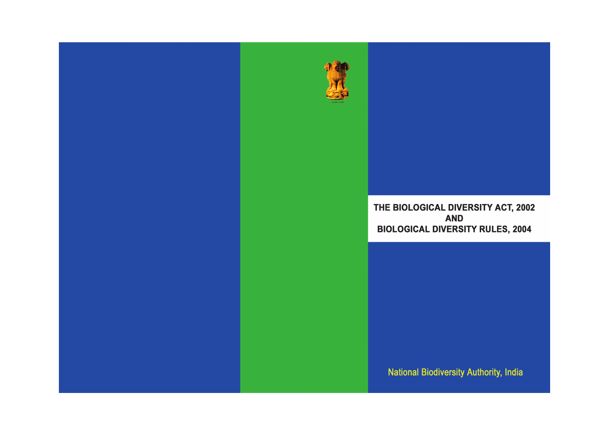

# THE BIOLOGICAL DIVERSITY ACT, 2002 **AND BIOLOGICAL DIVERSITY RULES, 2004**

**National Biodiversity Authority, India**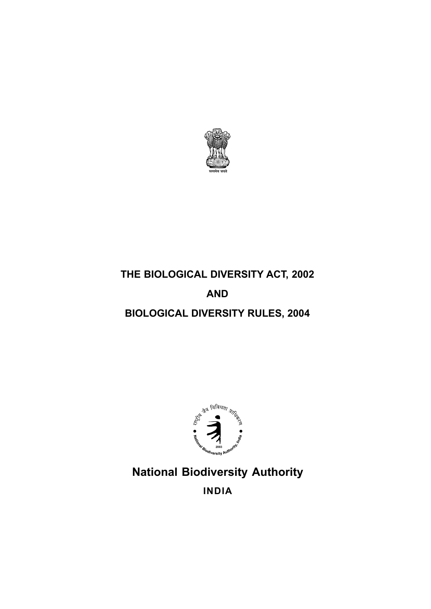

# **THE BIOLOGICAL DIVERSITY ACT, 2002**

# **AND**

# **BIOLOGICAL DIVERSITY RULES, 2004**



# **National Biodiversity Authority INDIA**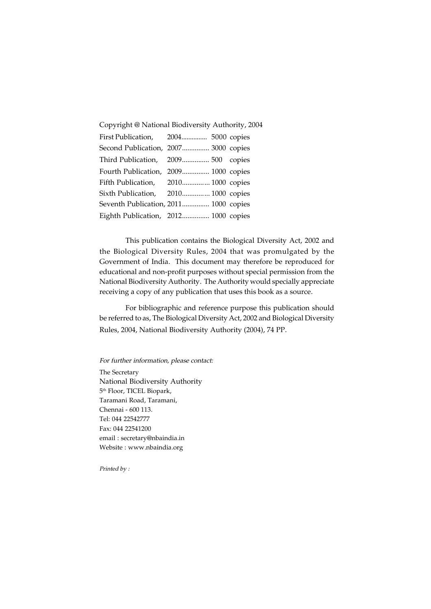| Copyright @ National Biodiversity Authority, 2004 |  |                                                                                                                                                                                                                                                                                                                          |  |  |  |
|---------------------------------------------------|--|--------------------------------------------------------------------------------------------------------------------------------------------------------------------------------------------------------------------------------------------------------------------------------------------------------------------------|--|--|--|
|                                                   |  |                                                                                                                                                                                                                                                                                                                          |  |  |  |
|                                                   |  |                                                                                                                                                                                                                                                                                                                          |  |  |  |
|                                                   |  |                                                                                                                                                                                                                                                                                                                          |  |  |  |
|                                                   |  |                                                                                                                                                                                                                                                                                                                          |  |  |  |
|                                                   |  |                                                                                                                                                                                                                                                                                                                          |  |  |  |
|                                                   |  |                                                                                                                                                                                                                                                                                                                          |  |  |  |
|                                                   |  |                                                                                                                                                                                                                                                                                                                          |  |  |  |
|                                                   |  |                                                                                                                                                                                                                                                                                                                          |  |  |  |
|                                                   |  | First Publication, 2004 5000 copies<br>Second Publication, 2007 3000 copies<br>Third Publication, 2009 500 copies<br>Fourth Publication, 2009 1000 copies<br>Fifth Publication, 2010 1000 copies<br>Sixth Publication, 2010 1000 copies<br>Seventh Publication, 2011 1000 copies<br>Eighth Publication, 2012 1000 copies |  |  |  |

This publication contains the Biological Diversity Act, 2002 and the Biological Diversity Rules, 2004 that was promulgated by the Government of India. This document may therefore be reproduced for educational and non-profit purposes without special permission from the National Biodiversity Authority. The Authority would specially appreciate receiving a copy of any publication that uses this book as a source.

For bibliographic and reference purpose this publication should be referred to as, The Biological Diversity Act, 2002 and Biological Diversity Rules, 2004, National Biodiversity Authority (2004), 74 PP.

For further information, please contact:

The Secretary National Biodiversity Authority 5th Floor, TICEL Biopark, Taramani Road, Taramani, Chennai - 600 113. Tel: 044 22542777 Fax: 044 22541200 email : secretary@nbaindia.in Website : www.nbaindia.org

Printed by :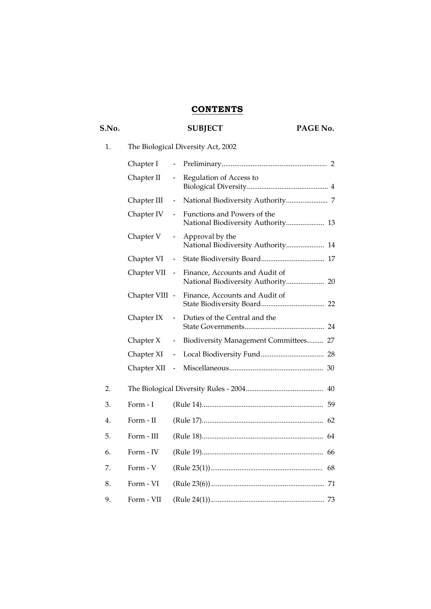## **CONTENTS**

# S.No. SUBJECT PAGE No. 1. The Biological Diversity Act, 2002 Chapter I - Preliminary.......................................................... 2 Chapter II - Regulation of Access to Biological Diversity............................................. 4 Chapter III - National Biodiversity Authority....................... 7 Chapter IV - Functions and Powers of the National Biodiversity Authority..................... 13 Chapter V - Approval by the National Biodiversity Authority..................... 14 Chapter VI - State Biodiversity Board................................... 17 Chapter VII - Finance, Accounts and Audit of National Biodiversity Authority..................... 20 Chapter VIII - Finance, Accounts and Audit of State Biodiversity Board................................... 22 Chapter IX - Duties of the Central and the State Governments............................................ 24 Chapter X - Biodiversity Management Committees......... 27 Chapter XI - Local Biodiversity Fund................................... 28 Chapter XII - Miscellaneous.................................................... 30 2. The Biological Diversity Rules - 2004........................................... 40 3. Form - I (Rule 14)................................................................... 59 4. Form - II (Rule 17)................................................................... 62 5. Form - III (Rule 18)................................................................... 64 6. Form - IV (Rule 19)................................................................... 66 7. Form - V (Rule 23(1)).............................................................. 68 8. Form - VI (Rule 23(6))............................................................... 71 9. Form - VII (Rule 24(1))............................................................... 73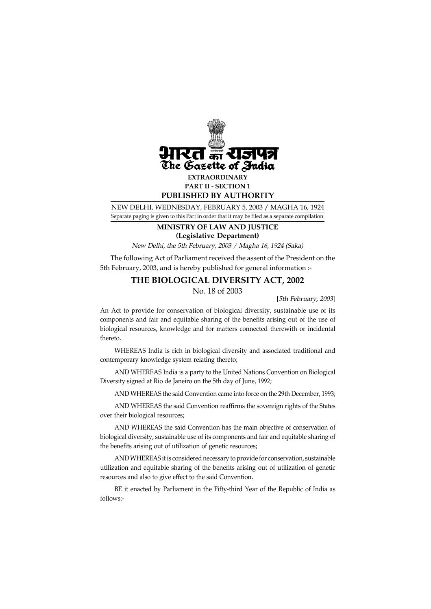

NEW DELHI, WEDNESDAY, FEBRUARY 5, 2003 / MAGHA 16, 1924 Separate paging is given to this Part in order that it may be filed as a separate compilation.

## **MINISTRY OF LAW AND JUSTICE (Legislative Department)**

New Delhi, the 5th February, 2003 / Magha 16, 1924 (Saka)

 The following Act of Parliament received the assent of the President on the 5th February, 2003, and is hereby published for general information :-

## **THE BIOLOGICAL DIVERSITY ACT, 2002**

No. 18 of 2003

[5th February, 2003]

An Act to provide for conservation of biological diversity, sustainable use of its components and fair and equitable sharing of the benefits arising out of the use of biological resources, knowledge and for matters connected therewith or incidental thereto.

WHEREAS India is rich in biological diversity and associated traditional and contemporary knowledge system relating thereto;

AND WHEREAS India is a party to the United Nations Convention on Biological Diversity signed at Rio de Janeiro on the 5th day of June, 1992;

AND WHEREAS the said Convention came into force on the 29th December, 1993;

AND WHEREAS the said Convention reaffirms the sovereign rights of the States over their biological resources;

AND WHEREAS the said Convention has the main objective of conservation of biological diversity, sustainable use of its components and fair and equitable sharing of the benefits arising out of utilization of genetic resources;

AND WHEREAS it is considered necessary to provide for conservation, sustainable utilization and equitable sharing of the benefits arising out of utilization of genetic resources and also to give effect to the said Convention.

BE it enacted by Parliament in the Fifty-third Year of the Republic of India as follows:-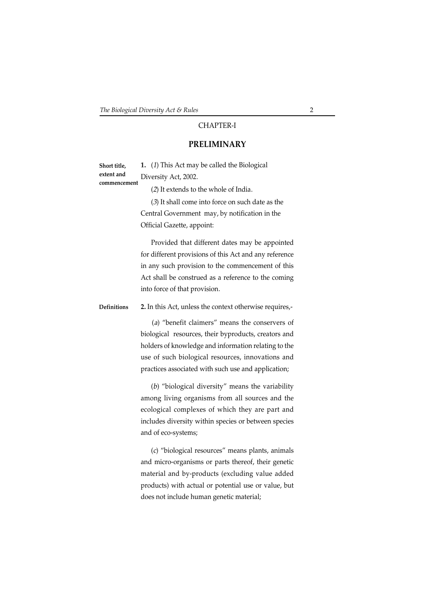## CHAPTER-I

## **PRELIMINARY**

| Short title, | 1. (1) This Act may be called the Biological |
|--------------|----------------------------------------------|
| extent and   | Diversity Act, 2002.                         |
| commencement |                                              |

(2) It extends to the whole of India.

(3) It shall come into force on such date as the Central Government may, by notification in the Official Gazette, appoint:

Provided that different dates may be appointed for different provisions of this Act and any reference in any such provision to the commencement of this Act shall be construed as a reference to the coming into force of that provision.

**2.** In this Act, unless the context otherwise requires,- **Definitions**

> (a) "benefit claimers" means the conservers of biological resources, their byproducts, creators and holders of knowledge and information relating to the use of such biological resources, innovations and practices associated with such use and application;

> (b) "biological diversity" means the variability among living organisms from all sources and the ecological complexes of which they are part and includes diversity within species or between species and of eco-systems;

> (c) "biological resources" means plants, animals and micro-organisms or parts thereof, their genetic material and by-products (excluding value added products) with actual or potential use or value, but does not include human genetic material;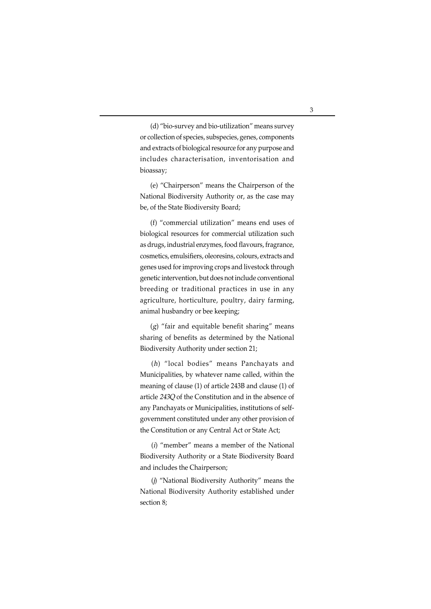(d) "bio-survey and bio-utilization" means survey or collection of species, subspecies, genes, components and extracts of biological resource for any purpose and includes characterisation, inventorisation and bioassay;

(e) "Chairperson" means the Chairperson of the National Biodiversity Authority or, as the case may be, of the State Biodiversity Board;

(f) "commercial utilization" means end uses of biological resources for commercial utilization such as drugs, industrial enzymes, food flavours, fragrance, cosmetics, emulsifiers, oleoresins, colours, extracts and genes used for improving crops and livestock through genetic intervention, but does not include conventional breeding or traditional practices in use in any agriculture, horticulture, poultry, dairy farming, animal husbandry or bee keeping;

 $(g)$  "fair and equitable benefit sharing" means sharing of benefits as determined by the National Biodiversity Authority under section 21;

(h) "local bodies" means Panchayats and Municipalities, by whatever name called, within the meaning of clause (1) of article 243B and clause (1) of article 243Q of the Constitution and in the absence of any Panchayats or Municipalities, institutions of selfgovernment constituted under any other provision of the Constitution or any Central Act or State Act;

(i) "member" means a member of the National Biodiversity Authority or a State Biodiversity Board and includes the Chairperson;

(j) "National Biodiversity Authority" means the National Biodiversity Authority established under section 8;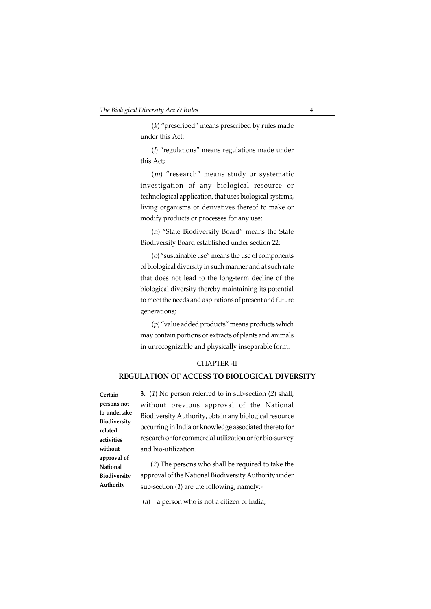(k) "prescribed" means prescribed by rules made under this Act;

(l) "regulations" means regulations made under this Act;

(m) "research" means study or systematic investigation of any biological resource or technological application, that uses biological systems, living organisms or derivatives thereof to make or modify products or processes for any use;

(n) "State Biodiversity Board" means the State Biodiversity Board established under section 22;

(o) "sustainable use" means the use of components of biological diversity in such manner and at such rate that does not lead to the long-term decline of the biological diversity thereby maintaining its potential to meet the needs and aspirations of present and future generations;

(p) "value added products" means products which may contain portions or extracts of plants and animals in unrecognizable and physically inseparable form.

## CHAPTER -II

## **REGULATION OF ACCESS TO BIOLOGICAL DIVERSITY**

**Certain persons not to undertake Biodiversity related activities without approval of National Biodiversity Authority**

**3.** (1) No person referred to in sub-section (2) shall, without previous approval of the National Biodiversity Authority, obtain any biological resource occurring in India or knowledge associated thereto for research or for commercial utilization or for bio-survey and bio-utilization.

 (2) The persons who shall be required to take the approval of the National Biodiversity Authority under sub-section (1) are the following, namely:-

(a) a person who is not a citizen of India;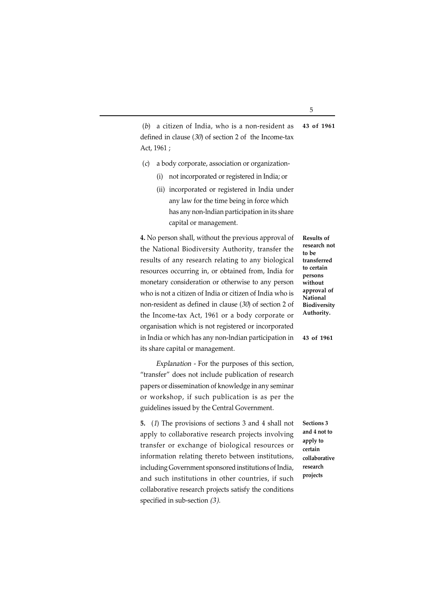(b) a citizen of India, who is a non-resident as defined in clause (30) of section 2 of the Income-tax Act, 1961 ; **43 of 1961**

- (c) a body corporate, association or organization-
	- (i) not incorporated or registered in India; or
	- (ii) incorporated or registered in India under any law for the time being in force which has any non-lndian participation in its share capital or management.

**4.** No person shall, without the previous approval of the National Biodiversity Authority, transfer the results of any research relating to any biological resources occurring in, or obtained from, India for monetary consideration or otherwise to any person who is not a citizen of India or citizen of India who is non-resident as defined in clause (30) of section 2 of the Income-tax Act, 1961 or a body corporate or organisation which is not registered or incorporated in India or which has any non-lndian participation in its share capital or management.

 Explanation - For the purposes of this section, "transfer" does not include publication of research papers or dissemination of knowledge in any seminar or workshop, if such publication is as per the guidelines issued by the Central Government.

**5.** (1) The provisions of sections 3 and 4 shall not apply to collaborative research projects involving transfer or exchange of biological resources or information relating thereto between institutions, including Government sponsored institutions of India, and such institutions in other countries, if such collaborative research projects satisfy the conditions specified in sub-section (3).

**research not to be transferred to certain persons without approval of National Biodiversity Authority.**

**Results of**

**43 of 1961**

**Sections 3 and 4 not to apply to certain collaborative research projects**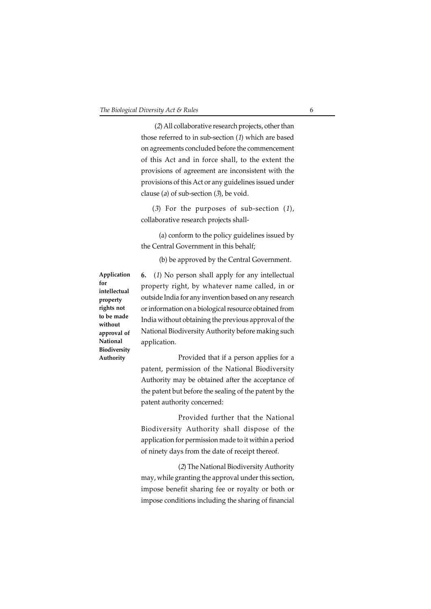(2) All collaborative research projects, other than those referred to in sub-section (1) which are based on agreements concluded before the commencement of this Act and in force shall, to the extent the provisions of agreement are inconsistent with the provisions of this Act or any guidelines issued under clause (a) of sub-section  $(3)$ , be void.

(3) For the purposes of sub-section  $(1)$ , collaborative research projects shall-

 (a) conform to the policy guidelines issued by the Central Government in this behalf;

(b) be approved by the Central Government.

**Application for intellectual property rights not to be made without approval of National Biodiversity Authority**

**6.** (1) No person shall apply for any intellectual property right, by whatever name called, in or outside India for any invention based on any research or information on a biological resource obtained from India without obtaining the previous approval of the National Biodiversity Authority before making such application.

Provided that if a person applies for a patent, permission of the National Biodiversity Authority may be obtained after the acceptance of the patent but before the sealing of the patent by the patent authority concerned:

Provided further that the National Biodiversity Authority shall dispose of the application for permission made to it within a period of ninety days from the date of receipt thereof.

(2) The National Biodiversity Authority may, while granting the approval under this section, impose benefit sharing fee or royalty or both or impose conditions including the sharing of financial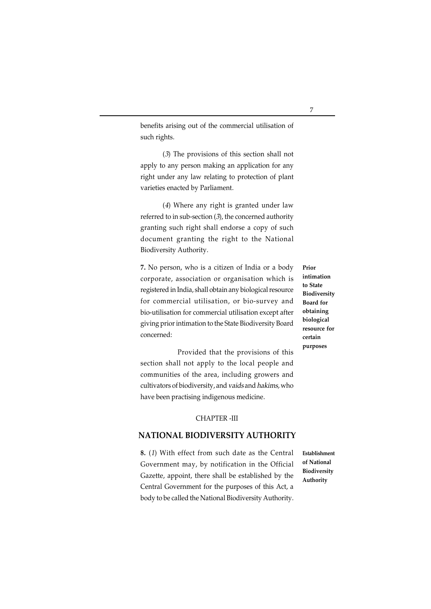benefits arising out of the commercial utilisation of such rights.

(3) The provisions of this section shall not apply to any person making an application for any right under any law relating to protection of plant varieties enacted by Parliament.

(4) Where any right is granted under law referred to in sub-section (3), the concerned authority granting such right shall endorse a copy of such document granting the right to the National Biodiversity Authority.

**7.** No person, who is a citizen of India or a body corporate, association or organisation which is registered in India, shall obtain any biological resource for commercial utilisation, or bio-survey and bio-utilisation for commercial utilisation except after giving prior intimation to the State Biodiversity Board concerned:

Provided that the provisions of this section shall not apply to the local people and communities of the area, including growers and cultivators of biodiversity, and vaids and hakims, who have been practising indigenous medicine.

## CHAPTER -III **NATIONAL BIODIVERSITY AUTHORITY**

**8.** (1) With effect from such date as the Central Government may, by notification in the Official Gazette, appoint, there shall be established by the Central Government for the purposes of this Act, a body to be called the National Biodiversity Authority.

**Establishment of National Biodiversity Authority**

**Prior intimation to State Biodiversity Board for obtaining biological resource for certain purposes**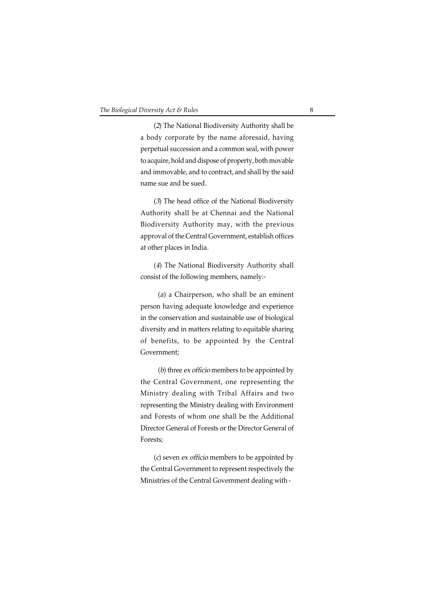(2) The National Biodiversity Authority shall be a body corporate by the name aforesaid, having perpetual succession and a common seal, with power to acquire, hold and dispose of property, both movable and immovable, and to contract, and shall by the said name sue and be sued.

(3) The head office of the National Biodiversity Authority shall be at Chennai and the National Biodiversity Authority may, with the previous approval of the Central Government, establish offices at other places in India.

(4) The National Biodiversity Authority shall consist of the following members, namely:-

(a) a Chairperson, who shall be an eminent person having adequate knowledge and experience in the conservation and sustainable use of biological diversity and in matters relating to equitable sharing of benefits, to be appointed by the Central Government;

(b) three ex officio members to be appointed by the Central Government, one representing the Ministry dealing with Tribal Affairs and two representing the Ministry dealing with Environment and Forests of whom one shall be the Additional Director General of Forests or the Director General of Forests;

(c) seven ex officio members to be appointed by the Central Government to represent respectively the Ministries of the Central Government dealing with -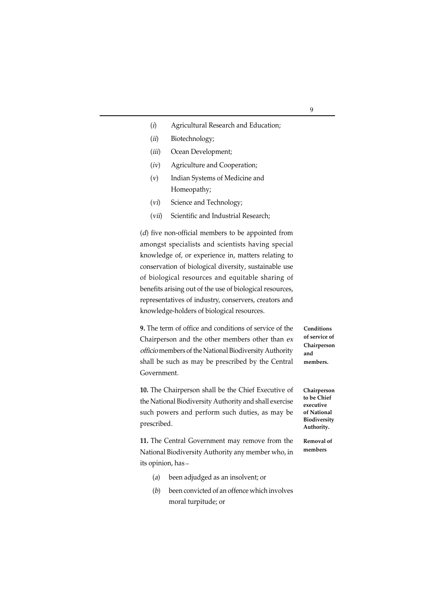- (i) Agricultural Research and Education;
- (ii) Biotechnology;
- (*iii*) Ocean Development;
- (iv) Agriculture and Cooperation;
- (v) Indian Systems of Medicine and Homeopathy;
- (vi) Science and Technology;
- (vii) Scientific and Industrial Research;

(d) five non-official members to be appointed from amongst specialists and scientists having special knowledge of, or experience in, matters relating to conservation of biological diversity, sustainable use of biological resources and equitable sharing of benefits arising out of the use of biological resources, representatives of industry, conservers, creators and knowledge-holders of biological resources.

**9.** The term of office and conditions of service of the Chairperson and the other members other than ex officio members of the National Biodiversity Authority shall be such as may be prescribed by the Central Government.

**10.** The Chairperson shall be the Chief Executive of the National Biodiversity Authority and shall exercise such powers and perform such duties, as may be prescribed.

**11.** The Central Government may remove from the National Biodiversity Authority any member who, in its opinion, has **\_**

- (a) been adjudged as an insolvent; or
- (b) been convicted of an offence which involves moral turpitude; or

**Conditions of service of Chairperson and members.**

**Chairperson to be Chief executive of National Biodiversity Authority.**

**Removal of members**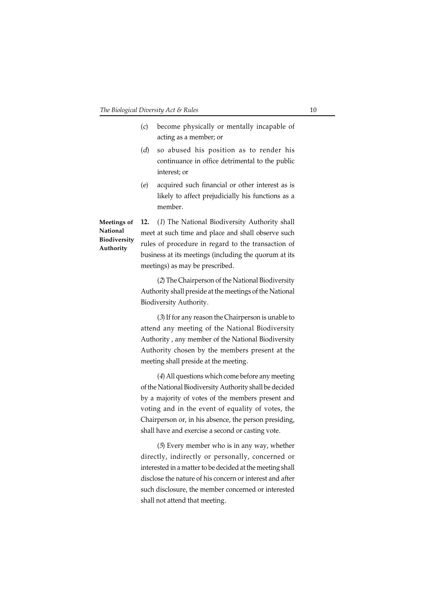- (c) become physically or mentally incapable of acting as a member; or (d) so abused his position as to render his
- continuance in office detrimental to the public interest; or
- (e) acquired such financial or other interest as is likely to affect prejudicially his functions as a member.

**National Biodiversity Authority**

**12.** (1) The National Biodiversity Authority shall **Meetings of** meet at such time and place and shall observe such rules of procedure in regard to the transaction of business at its meetings (including the quorum at its meetings) as may be prescribed.

> (2) The Chairperson of the National Biodiversity Authority shall preside at the meetings of the National Biodiversity Authority.

> (3) If for any reason the Chairperson is unable to attend any meeting of the National Biodiversity Authority , any member of the National Biodiversity Authority chosen by the members present at the meeting shall preside at the meeting.

> (4) All questions which come before any meeting of the National Biodiversity Authority shall be decided by a majority of votes of the members present and voting and in the event of equality of votes, the Chairperson or, in his absence, the person presiding, shall have and exercise a second or casting vote.

> (5) Every member who is in any way, whether directly, indirectly or personally, concerned or interested in a matter to be decided at the meeting shall disclose the nature of his concern or interest and after such disclosure, the member concerned or interested shall not attend that meeting.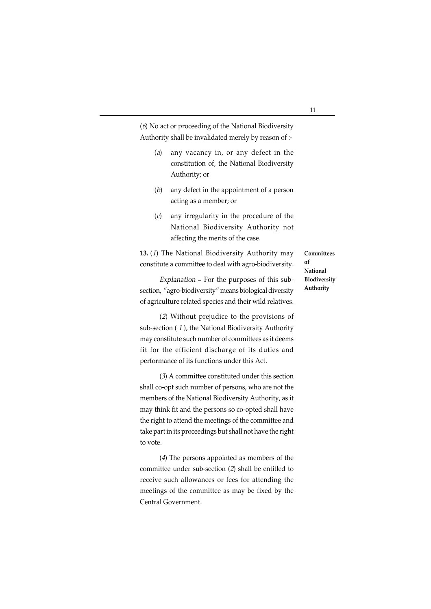(6) No act or proceeding of the National Biodiversity Authority shall be invalidated merely by reason of :-

- (a) any vacancy in, or any defect in the constitution of, the National Biodiversity Authority; or
- (b) any defect in the appointment of a person acting as a member; or
- (c) any irregularity in the procedure of the National Biodiversity Authority not affecting the merits of the case.

**13.** (1) The National Biodiversity Authority may constitute a committee to deal with agro-biodiversity.

Explanation - For the purposes of this subsection, "agro-biodiversity" means biological diversity of agriculture related species and their wild relatives.

(2) Without prejudice to the provisions of sub-section ( 1 ), the National Biodiversity Authority may constitute such number of committees as it deems fit for the efficient discharge of its duties and performance of its functions under this Act.

(3) A committee constituted under this section shall co-opt such number of persons, who are not the members of the National Biodiversity Authority, as it may think fit and the persons so co-opted shall have the right to attend the meetings of the committee and take part in its proceedings but shall not have the right to vote.

(4) The persons appointed as members of the committee under sub-section (2) shall be entitled to receive such allowances or fees for attending the meetings of the committee as may be fixed by the Central Government.

**Committees of National Biodiversity Authority**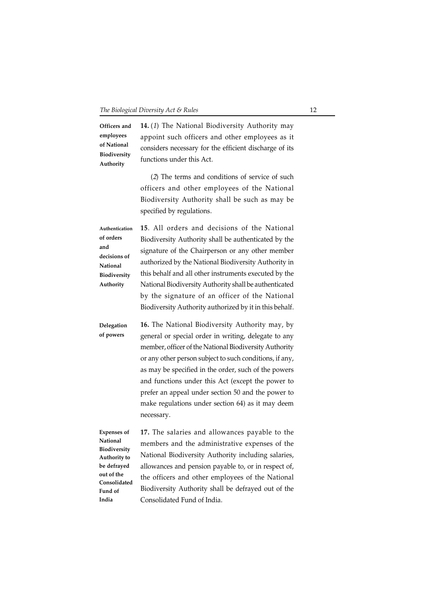**14.** (1) The National Biodiversity Authority may appoint such officers and other employees as it considers necessary for the efficient discharge of its functions under this Act. **Officers and employees of National Biodiversity Authority**

> (2) The terms and conditions of service of such officers and other employees of the National Biodiversity Authority shall be such as may be specified by regulations.

**15**. All orders and decisions of the National Biodiversity Authority shall be authenticated by the signature of the Chairperson or any other member authorized by the National Biodiversity Authority in this behalf and all other instruments executed by the National Biodiversity Authority shall be authenticated by the signature of an officer of the National Biodiversity Authority authorized by it in this behalf. **Authentication of orders and decisions of National Biodiversity Authority**

**16.** The National Biodiversity Authority may, by general or special order in writing, delegate to any member, officer of the National Biodiversity Authority or any other person subject to such conditions, if any, as may be specified in the order, such of the powers and functions under this Act (except the power to prefer an appeal under section 50 and the power to make regulations under section 64) as it may deem necessary. **Delegation of powers**

**Expenses of National Biodiversity Authority to be defrayed out of the Consolidated Fund of India**

**17.** The salaries and allowances payable to the members and the administrative expenses of the National Biodiversity Authority including salaries, allowances and pension payable to, or in respect of, the officers and other employees of the National Biodiversity Authority shall be defrayed out of the Consolidated Fund of India.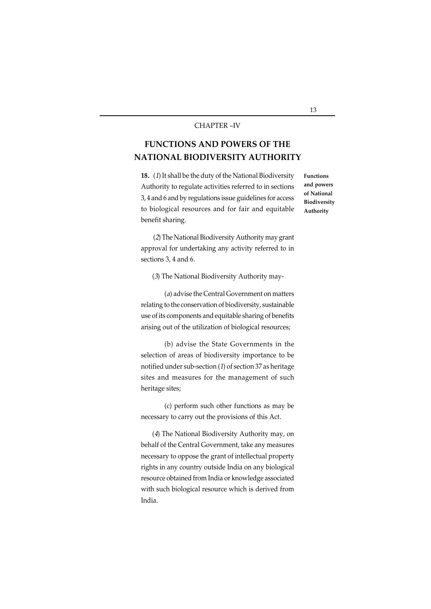#### CHAPTER –IV

## **FUNCTIONS AND POWERS OF THE NATIONAL BIODIVERSITY AUTHORITY**

**18.** (1) It shall be the duty of the National Biodiversity Authority to regulate activities referred to in sections 3, 4 and 6 and by regulations issue guidelines for access to biological resources and for fair and equitable benefit sharing.

**Functions and powers of National Biodiversity Authority**

(2) The National Biodiversity Authority may grant approval for undertaking any activity referred to in sections 3, 4 and 6.

(3) The National Biodiversity Authority may-

(a) advise the Central Government on matters relating to the conservation of biodiversity, sustainable use of its components and equitable sharing of benefits arising out of the utilization of biological resources;

(b) advise the State Governments in the selection of areas of biodiversity importance to be notified under sub-section (1) of section 37 as heritage sites and measures for the management of such heritage sites;

(c) perform such other functions as may be necessary to carry out the provisions of this Act.

(4) The National Biodiversity Authority may, on behalf of the Central Government, take any measures necessary to oppose the grant of intellectual property rights in any country outside India on any biological resource obtained from India or knowledge associated with such biological resource which is derived from India.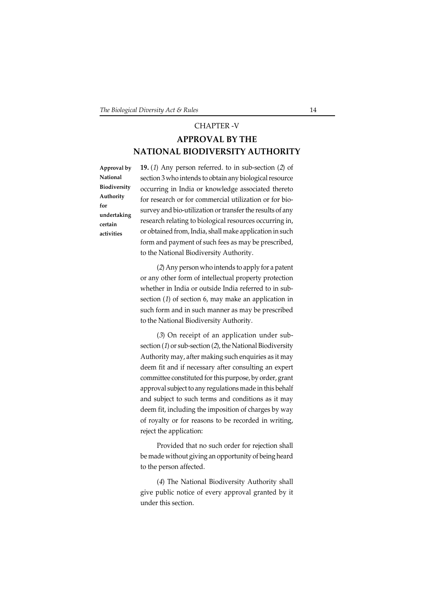## CHAPTER -V

## **APPROVAL BY THE NATIONAL BIODIVERSITY AUTHORITY**

**Approval by National Biodiversity Authority for undertaking certain activities**

**19.** (1) Any person referred. to in sub-section (2) of section 3 who intends to obtain any biological resource occurring in India or knowledge associated thereto for research or for commercial utilization or for biosurvey and bio-utilization or transfer the results of any research relating to biological resources occurring in, or obtained from, India, shall make application in such form and payment of such fees as may be prescribed, to the National Biodiversity Authority.

(2) Any person who intends to apply for a patent or any other form of intellectual property protection whether in India or outside India referred to in subsection (1) of section 6, may make an application in such form and in such manner as may be prescribed to the National Biodiversity Authority.

(3) On receipt of an application under subsection  $(1)$  or sub-section  $(2)$ , the National Biodiversity Authority may, after making such enquiries as it may deem fit and if necessary after consulting an expert committee constituted for this purpose, by order, grant approval subject to any regulations made in this behalf and subject to such terms and conditions as it may deem fit, including the imposition of charges by way of royalty or for reasons to be recorded in writing, reject the application:

Provided that no such order for rejection shall be made without giving an opportunity of being heard to the person affected.

(4) The National Biodiversity Authority shall give public notice of every approval granted by it under this section.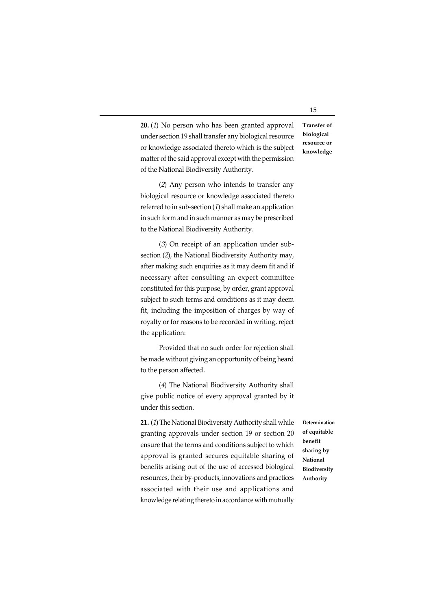**20.** (1) No person who has been granted approval under section 19 shall transfer any biological resource or knowledge associated thereto which is the subject matter of the said approval except with the permission of the National Biodiversity Authority. **Transfer of**

(2) Any person who intends to transfer any biological resource or knowledge associated thereto referred to in sub-section (1) shall make an application in such form and in such manner as may be prescribed to the National Biodiversity Authority.

(3) On receipt of an application under subsection (2), the National Biodiversity Authority may, after making such enquiries as it may deem fit and if necessary after consulting an expert committee constituted for this purpose, by order, grant approval subject to such terms and conditions as it may deem fit, including the imposition of charges by way of royalty or for reasons to be recorded in writing, reject the application:

Provided that no such order for rejection shall be made without giving an opportunity of being heard to the person affected.

(4) The National Biodiversity Authority shall give public notice of every approval granted by it under this section.

**21.** (1) The National Biodiversity Authority shall while granting approvals under section 19 or section 20 ensure that the terms and conditions subject to which approval is granted secures equitable sharing of benefits arising out of the use of accessed biological resources, their by-products, innovations and practices associated with their use and applications and knowledge relating thereto in accordance with mutually

**Determination of equitable benefit sharing by National Biodiversity Authority**

**biological resource or knowledge**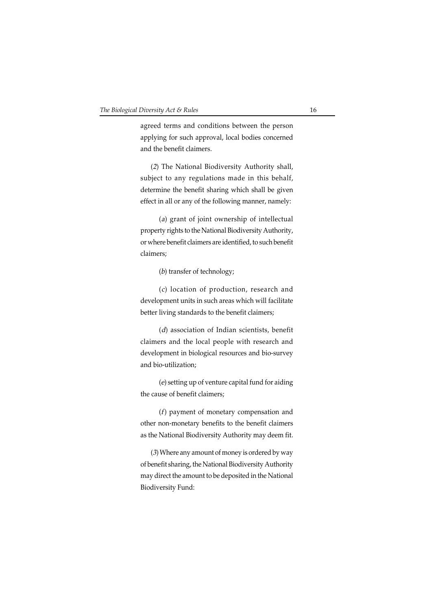agreed terms and conditions between the person applying for such approval, local bodies concerned and the benefit claimers.

(2) The National Biodiversity Authority shall, subject to any regulations made in this behalf, determine the benefit sharing which shall be given effect in all or any of the following manner, namely:

(a) grant of joint ownership of intellectual property rights to the National Biodiversity Authority, or where benefit claimers are identified, to such benefit claimers;

(b) transfer of technology;

(c) location of production, research and development units in such areas which will facilitate better living standards to the benefit claimers;

(d) association of Indian scientists, benefit claimers and the local people with research and development in biological resources and bio-survey and bio-utilization;

(e) setting up of venture capital fund for aiding the cause of benefit claimers;

(f) payment of monetary compensation and other non-monetary benefits to the benefit claimers as the National Biodiversity Authority may deem fit.

(3) Where any amount of money is ordered by way of benefit sharing, the National Biodiversity Authority may direct the amount to be deposited in the National Biodiversity Fund: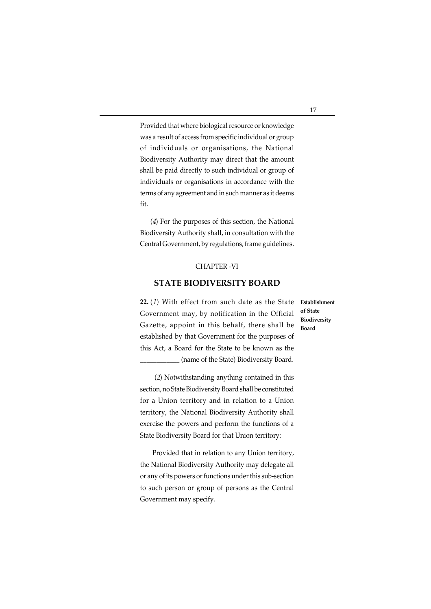Provided that where biological resource or knowledge was a result of access from specific individual or group of individuals or organisations, the National Biodiversity Authority may direct that the amount shall be paid directly to such individual or group of individuals or organisations in accordance with the terms of any agreement and in such manner as it deems fit.

(4) For the purposes of this section, the National Biodiversity Authority shall, in consultation with the Central Government, by regulations, frame guidelines.

## CHAPTER -VI

## **STATE BIODIVERSITY BOARD**

**22.** (1) With effect from such date as the State Government may, by notification in the Official Gazette, appoint in this behalf, there shall be established by that Government for the purposes of this Act, a Board for the State to be known as the \_\_\_\_\_\_\_\_\_\_\_\_ (name of the State) Biodiversity Board.

 (2) Notwithstanding anything contained in this section, no State Biodiversity Board shall be constituted for a Union territory and in relation to a Union territory, the National Biodiversity Authority shall exercise the powers and perform the functions of a State Biodiversity Board for that Union territory:

 Provided that in relation to any Union territory, the National Biodiversity Authority may delegate all or any of its powers or functions under this sub-section to such person or group of persons as the Central Government may specify.

**Establishment of State Biodiversity Board**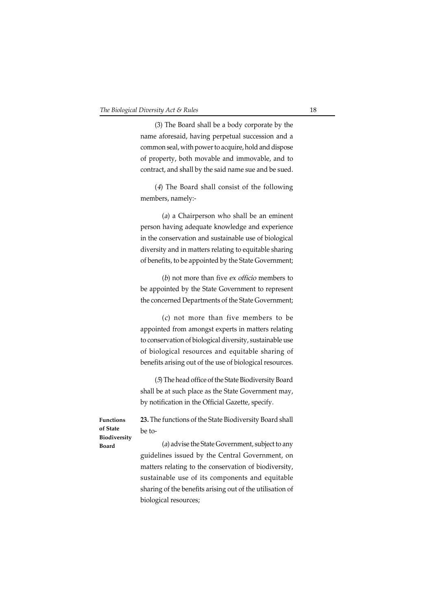(3) The Board shall be a body corporate by the name aforesaid, having perpetual succession and a common seal, with power to acquire, hold and dispose of property, both movable and immovable, and to contract, and shall by the said name sue and be sued.

(4) The Board shall consist of the following members, namely:-

(a) a Chairperson who shall be an eminent person having adequate knowledge and experience in the conservation and sustainable use of biological diversity and in matters relating to equitable sharing of benefits, to be appointed by the State Government;

(b) not more than five ex officio members to be appointed by the State Government to represent the concerned Departments of the State Government;

(c) not more than five members to be appointed from amongst experts in matters relating to conservation of biological diversity, sustainable use of biological resources and equitable sharing of benefits arising out of the use of biological resources.

(5) The head office of the State Biodiversity Board shall be at such place as the State Government may, by notification in the Official Gazette, specify.

**Functions of State Biodiversity Board**

**23.** The functions of the State Biodiversity Board shall be to-

(a) advise the State Government, subject to any guidelines issued by the Central Government, on matters relating to the conservation of biodiversity, sustainable use of its components and equitable sharing of the benefits arising out of the utilisation of biological resources;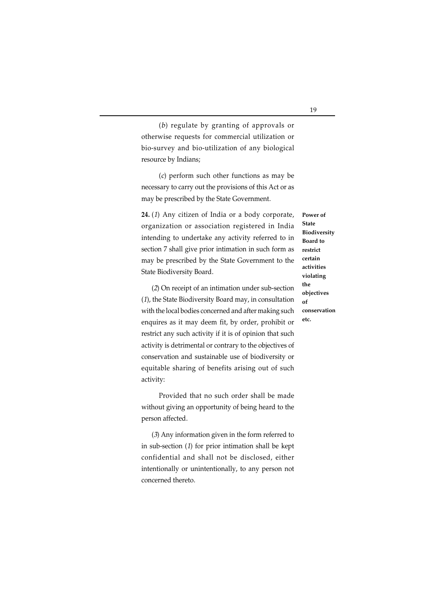(b) regulate by granting of approvals or otherwise requests for commercial utilization or bio-survey and bio-utilization of any biological resource by Indians;

(c) perform such other functions as may be necessary to carry out the provisions of this Act or as may be prescribed by the State Government.

**24.** (1) Any citizen of India or a body corporate, organization or association registered in India intending to undertake any activity referred to in section 7 shall give prior intimation in such form as may be prescribed by the State Government to the State Biodiversity Board.

(2) On receipt of an intimation under sub-section (1), the State Biodiversity Board may, in consultation with the local bodies concerned and after making such enquires as it may deem fit, by order, prohibit or restrict any such activity if it is of opinion that such activity is detrimental or contrary to the objectives of conservation and sustainable use of biodiversity or equitable sharing of benefits arising out of such activity:

Provided that no such order shall be made without giving an opportunity of being heard to the person affected.

(3) Any information given in the form referred to in sub-section (1) for prior intimation shall be kept confidential and shall not be disclosed, either intentionally or unintentionally, to any person not concerned thereto.

**State Biodiversity Board to restrict certain activities violating the objectives of conservation etc.**

**Power of**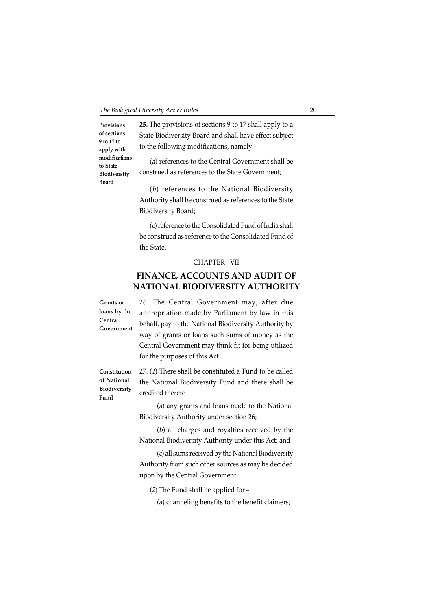**Provisions of sections 9 to 17 to apply with modifications to State Biodiversity Board**

**25.** The provisions of sections 9 to 17 shall apply to a State Biodiversity Board and shall have effect subject to the following modifications, namely:-

(a) references to the Central Government shall be construed as references to the State Government;

(b) references to the National Biodiversity Authority shall be construed as references to the State Biodiversity Board;

(c) reference to the Consolidated Fund of India shall be construed as reference to the Consolidated Fund of the State.

#### CHAPTER –VII

## **FINANCE, ACCOUNTS AND AUDIT OF NATIONAL BIODIVERSITY AUTHORITY**

**Grants or loans by the Central Government** 26. The Central Government may, after due appropriation made by Parliament by law in this behalf, pay to the National Biodiversity Authority by way of grants or loans such sums of money as the Central Government may think fit for being utilized for the purposes of this Act.

**Constitution of National Biodiversity Fund**

27. (1) There shall be constituted a Fund to be called the National Biodiversity Fund and there shall be credited thereto

(a) any grants and loans made to the National Biodiversity Authority under section 26;

(b) all charges and royalties received by the National Biodiversity Authority under this Act; and

(c) all sums received by the National Biodiversity Authority from such other sources as may be decided upon by the Central Government.

(2) The Fund shall be applied for-

(a) channeling benefits to the benefit claimers;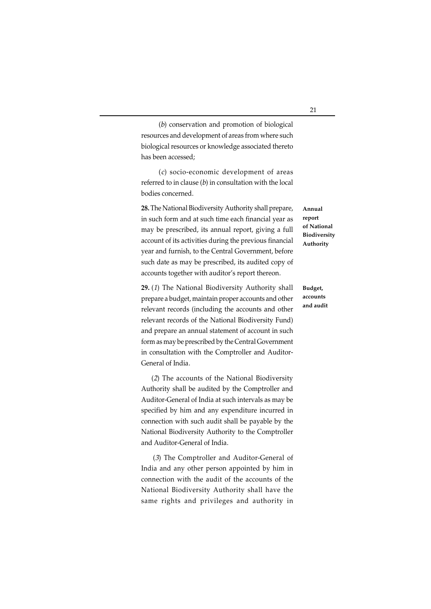(b) conservation and promotion of biological resources and development of areas from where such biological resources or knowledge associated thereto has been accessed;

(c) socio-economic development of areas referred to in clause (b) in consultation with the local bodies concerned.

**28.** The National Biodiversity Authority shall prepare, in such form and at such time each financial year as may be prescribed, its annual report, giving a full account of its activities during the previous financial year and furnish, to the Central Government, before such date as may be prescribed, its audited copy of accounts together with auditor's report thereon.

**29.** (1) The National Biodiversity Authority shall prepare a budget, maintain proper accounts and other relevant records (including the accounts and other relevant records of the National Biodiversity Fund) and prepare an annual statement of account in such form as may be prescribed by the Central Government in consultation with the Comptroller and Auditor-General of India.

(2) The accounts of the National Biodiversity Authority shall be audited by the Comptroller and Auditor-General of India at such intervals as may be specified by him and any expenditure incurred in connection with such audit shall be payable by the National Biodiversity Authority to the Comptroller and Auditor-General of India.

(3) The Comptroller and Auditor-General of India and any other person appointed by him in connection with the audit of the accounts of the National Biodiversity Authority shall have the same rights and privileges and authority in

**Annual report of National Biodiversity Authority**

## **Budget, accounts and audit**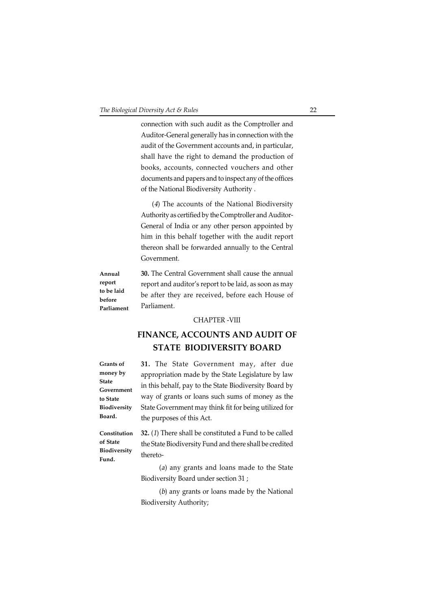connection with such audit as the Comptroller and Auditor-General generally has in connection with the audit of the Government accounts and, in particular, shall have the right to demand the production of books, accounts, connected vouchers and other documents and papers and to inspect any of the offices of the National Biodiversity Authority .

(4) The accounts of the National Biodiversity Authority as certified by the Comptroller and Auditor-General of India or any other person appointed by him in this behalf together with the audit report thereon shall be forwarded annually to the Central Government.

**30.** The Central Government shall cause the annual report and auditor's report to be laid, as soon as may be after they are received, before each House of Parliament. **Annual report to be laid before Parliament**

#### CHAPTER -VIII

## **FINANCE, ACCOUNTS AND AUDIT OF STATE BIODIVERSITY BOARD**

**Grants of money by State Government to State Biodiversity Board.**

**31.** The State Government may, after due appropriation made by the State Legislature by law in this behalf, pay to the State Biodiversity Board by way of grants or loans such sums of money as the State Government may think fit for being utilized for the purposes of this Act.

**Constitution of State Biodiversity Fund.**

**32.** (1) There shall be constituted a Fund to be called the State Biodiversity Fund and there shall be credited thereto-

(a) any grants and loans made to the State Biodiversity Board under section 31 ;

(b) any grants or loans made by the National Biodiversity Authority;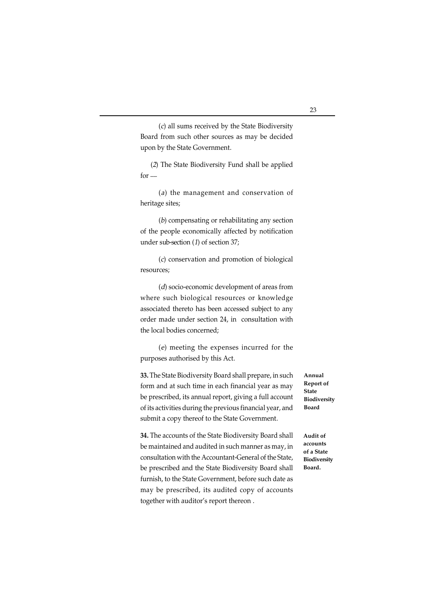(c) all sums received by the State Biodiversity Board from such other sources as may be decided upon by the State Government.

(2) The State Biodiversity Fund shall be applied  $for -$ 

(a) the management and conservation of heritage sites;

(b) compensating or rehabilitating any section of the people economically affected by notification under sub-section (1) of section 37;

(c) conservation and promotion of biological resources;

(d) socio-economic development of areas from where such biological resources or knowledge associated thereto has been accessed subject to any order made under section 24, in consultation with the local bodies concerned;

(e) meeting the expenses incurred for the purposes authorised by this Act.

**33.** The State Biodiversity Board shall prepare, in such form and at such time in each financial year as may be prescribed, its annual report, giving a full account of its activities during the previous financial year, and submit a copy thereof to the State Government.

**34.** The accounts of the State Biodiversity Board shall be maintained and audited in such manner as may, in consultation with the Accountant-General of the State, be prescribed and the State Biodiversity Board shall furnish, to the State Government, before such date as may be prescribed, its audited copy of accounts together with auditor's report thereon .

**Annual Report of State Biodiversity Board**

**Audit of accounts of a State Biodiversity Board.**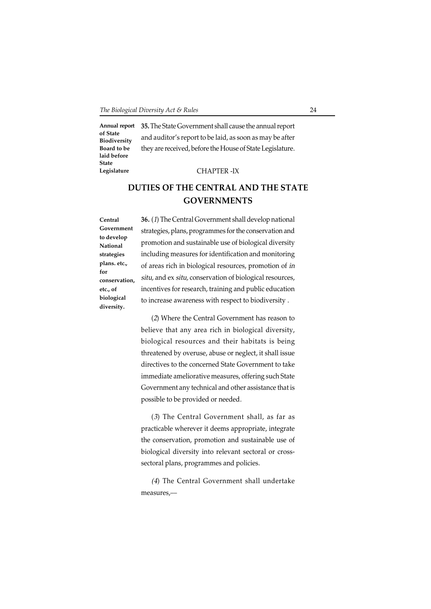**35.** The State Government shall cause the annual report **Annual report of State Biodiversity Board to be laid before State Legislature**

### CHAPTER -IX

and auditor's report to be laid, as soon as may be after they are received, before the House of State Legislature.

## **DUTIES OF THE CENTRAL AND THE STATE GOVERNMENTS**

**Central Government to develop National strategies plans. etc., for conservation, etc., of biological diversity.**

**36.** (1) The Central Government shall develop national strategies, plans, programmes for the conservation and promotion and sustainable use of biological diversity including measures for identification and monitoring of areas rich in biological resources, promotion of in situ, and ex situ, conservation of biological resources, incentives for research, training and public education to increase awareness with respect to biodiversity .

(2) Where the Central Government has reason to believe that any area rich in biological diversity, biological resources and their habitats is being threatened by overuse, abuse or neglect, it shall issue directives to the concerned State Government to take immediate ameliorative measures, offering such State Government any technical and other assistance that is possible to be provided or needed.

(3) The Central Government shall, as far as practicable wherever it deems appropriate, integrate the conservation, promotion and sustainable use of biological diversity into relevant sectoral or crosssectoral plans, programmes and policies.

(4) The Central Government shall undertake measures,\_\_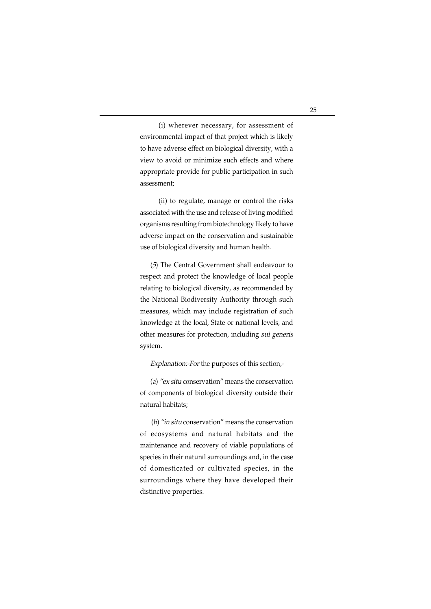(i) wherever necessary, for assessment of environmental impact of that project which is likely to have adverse effect on biological diversity, with a view to avoid or minimize such effects and where appropriate provide for public participation in such assessment;

(ii) to regulate, manage or control the risks associated with the use and release of living modified organisms resulting from biotechnology likely to have adverse impact on the conservation and sustainable use of biological diversity and human health.

(5) The Central Government shall endeavour to respect and protect the knowledge of local people relating to biological diversity, as recommended by the National Biodiversity Authority through such measures, which may include registration of such knowledge at the local, State or national levels, and other measures for protection, including sui generis system.

Explanation:-For the purposes of this section,-

(a) "ex situ conservation" means the conservation of components of biological diversity outside their natural habitats;

(b) "in situ conservation" means the conservation of ecosystems and natural habitats and the maintenance and recovery of viable populations of species in their natural surroundings and, in the case of domesticated or cultivated species, in the surroundings where they have developed their distinctive properties.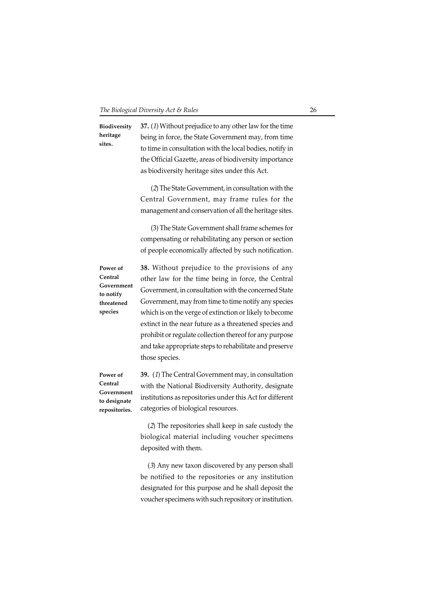**37.** (1) Without prejudice to any other law for the time being in force, the State Government may, from time to time in consultation with the local bodies, notify in the Official Gazette, areas of biodiversity importance as biodiversity heritage sites under this Act. (2) The State Government, in consultation with the Central Government, may frame rules for the management and conservation of all the heritage sites. (3) The State Government shall frame schemes for compensating or rehabilitating any person or section of people economically affected by such notification. **38.** Without prejudice to the provisions of any other law for the time being in force, the Central Government, in consultation with the concerned State Government, may from time to time notify any species which is on the verge of extinction or likely to become extinct in the near future as a threatened species and prohibit or regulate collection thereof for any purpose and take appropriate steps to rehabilitate and preserve those species. **39.** (1) The Central Government may, in consultation with the National Biodiversity Authority, designate institutions as repositories under this Act for different categories of biological resources. (2) The repositories shall keep in safe custody the biological material including voucher specimens **Biodiversity heritage sites. Power of Central Government to notify threatened species Power of Central Government to designate repositories.**

> (3) Any new taxon discovered by any person shall be notified to the repositories or any institution designated for this purpose and he shall deposit the voucher specimens with such repository or institution.

deposited with them.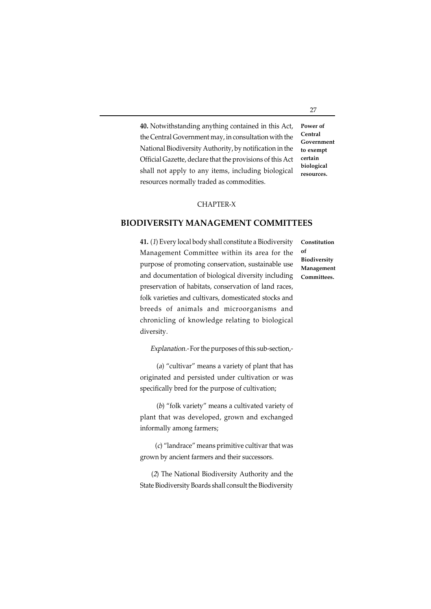**40.** Notwithstanding anything contained in this Act, the Central Government may, in consultation with the National Biodiversity Authority, by notification in the Official Gazette, declare that the provisions of this Act shall not apply to any items, including biological resources normally traded as commodities. **Power of Central Government to exempt certain biological resources.**

#### CHAPTER-X

#### **BIODIVERSITY MANAGEMENT COMMITTEES**

**41.** (1) Every local body shall constitute a Biodiversity Management Committee within its area for the purpose of promoting conservation, sustainable use and documentation of biological diversity including preservation of habitats, conservation of land races, folk varieties and cultivars, domesticated stocks and breeds of animals and microorganisms and chronicling of knowledge relating to biological diversity.

Explanation.- For the purposes of this sub-section,-

(a) "cultivar" means a variety of plant that has originated and persisted under cultivation or was specifically bred for the purpose of cultivation;

(b) "folk variety" means a cultivated variety of plant that was developed, grown and exchanged informally among farmers;

 (c) "landrace" means primitive cultivar that was grown by ancient farmers and their successors.

(2) The National Biodiversity Authority and the State Biodiversity Boards shall consult the Biodiversity

**Constitution of Biodiversity Management Committees.**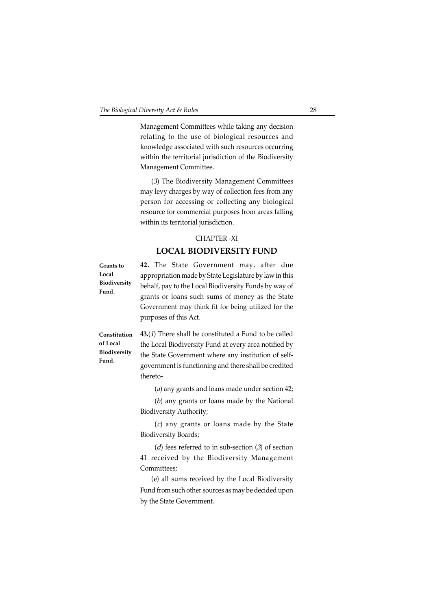Management Committees while taking any decision relating to the use of biological resources and knowledge associated with such resources occurring within the territorial jurisdiction of the Biodiversity Management Committee.

(3) The Biodiversity Management Committees may levy charges by way of collection fees from any person for accessing or collecting any biological resource for commercial purposes from areas falling within its territorial jurisdiction.

#### CHAPTER -XI

## **LOCAL BIODIVERSITY FUND**

**Grants to Local Biodiversity Fund.**

**42.** The State Government may, after due appropriation made by State Legislature by law in this behalf, pay to the Local Biodiversity Funds by way of grants or loans such sums of money as the State Government may think fit for being utilized for the purposes of this Act.

**Constitution of Local Biodiversity Fund.**

**43.**(1) There shall be constituted a Fund to be called the Local Biodiversity Fund at every area notified by the State Government where any institution of selfgovernment is functioning and there shall be credited thereto-

(a) any grants and loans made under section 42;

(b) any grants or loans made by the National Biodiversity Authority;

(c) any grants or loans made by the State Biodiversity Boards;

(d) fees referred to in sub-section (3) of section 41 received by the Biodiversity Management Committees;

(e) all sums received by the Local Biodiversity Fund from such other sources as may be decided upon by the State Government.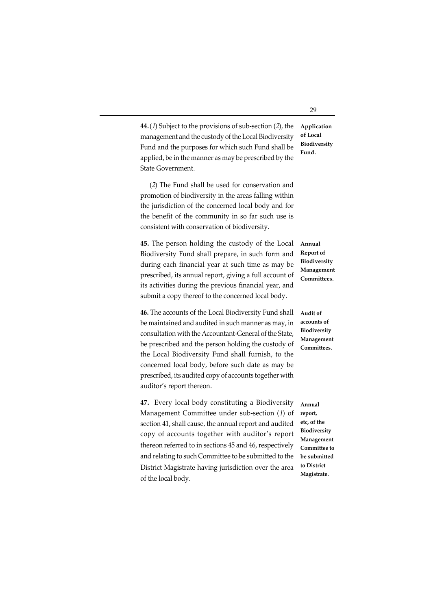**44.**(1) Subject to the provisions of sub-section (2), the management and the custody of the Local Biodiversity Fund and the purposes for which such Fund shall be applied, be in the manner as may be prescribed by the **Application**

(2) The Fund shall be used for conservation and promotion of biodiversity in the areas falling within the jurisdiction of the concerned local body and for the benefit of the community in so far such use is consistent with conservation of biodiversity.

State Government.

**45.** The person holding the custody of the Local Biodiversity Fund shall prepare, in such form and during each financial year at such time as may be prescribed, its annual report, giving a full account of its activities during the previous financial year, and submit a copy thereof to the concerned local body.

**46.** The accounts of the Local Biodiversity Fund shall be maintained and audited in such manner as may, in consultation with the Accountant-General of the State, be prescribed and the person holding the custody of the Local Biodiversity Fund shall furnish, to the concerned local body, before such date as may be prescribed, its audited copy of accounts together with auditor's report thereon.

**47.** Every local body constituting a Biodiversity Management Committee under sub-section (1) of section 41, shall cause, the annual report and audited copy of accounts together with auditor's report thereon referred to in sections 45 and 46, respectively and relating to such Committee to be submitted to the District Magistrate having jurisdiction over the area of the local body.

**of Local Biodiversity Fund.**

**Annual Report of Biodiversity Management Committees.**

**Audit of accounts of Biodiversity Management Committees.**

**Annual report, etc, of the Biodiversity Management Committee to be submitted to District Magistrate.**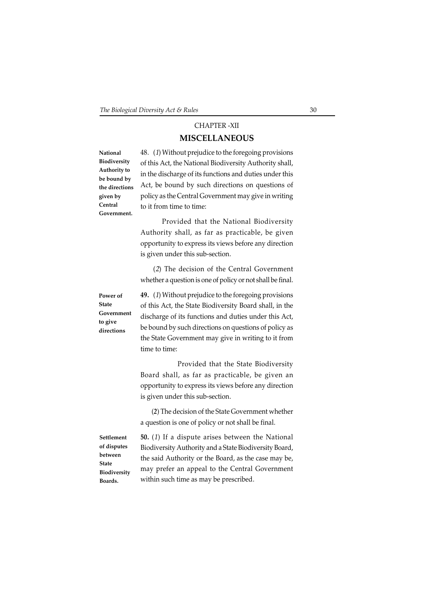## CHAPTER -XII **MISCELLANEOUS**

**National Biodiversity Authority to be bound by the directions given by Central Government.**

48. (1) Without prejudice to the foregoing provisions of this Act, the National Biodiversity Authority shall, in the discharge of its functions and duties under this Act, be bound by such directions on questions of policy as the Central Government may give in writing to it from time to time:

Provided that the National Biodiversity Authority shall, as far as practicable, be given opportunity to express its views before any direction is given under this sub-section.

(2) The decision of the Central Government whether a question is one of policy or not shall be final.

**Power of State Government to give directions**

**49.** (1) Without prejudice to the foregoing provisions of this Act, the State Biodiversity Board shall, in the discharge of its functions and duties under this Act, be bound by such directions on questions of policy as the State Government may give in writing to it from time to time:

Provided that the State Biodiversity Board shall, as far as practicable, be given an opportunity to express its views before any direction is given under this sub-section.

(*2*) The decision of the State Government whether a question is one of policy or not shall be final.

**Settlement of disputes between State Biodiversity Boards.**

**50.** (1) If a dispute arises between the National Biodiversity Authority and a State Biodiversity Board, the said Authority or the Board, as the case may be, may prefer an appeal to the Central Government within such time as may be prescribed.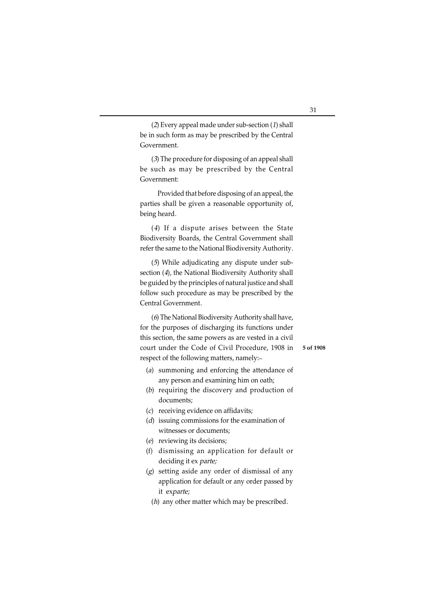(2) Every appeal made under sub-section (1) shall be in such form as may be prescribed by the Central Government.

(3) The procedure for disposing of an appeal shall be such as may be prescribed by the Central Government:

Provided that before disposing of an appeal, the parties shall be given a reasonable opportunity of, being heard.

(4) If a dispute arises between the State Biodiversity Boards, the Central Government shall refer the same to the National Biodiversity Authority.

(5) While adjudicating any dispute under subsection (4), the National Biodiversity Authority shall be guided by the principles of natural justice and shall follow such procedure as may be prescribed by the Central Government.

(6) The National Biodiversity Authority shall have, for the purposes of discharging its functions under this section, the same powers as are vested in a civil court under the Code of Civil Procedure, 1908 in respect of the following matters, namely:\_

- (a) summoning and enforcing the attendance of any person and examining him on oath;
- (b) requiring the discovery and production of documents;
- (c) receiving evidence on affidavits;
- (d) issuing commissions for the examination of witnesses or documents;
- (e) reviewing its decisions;
- (f) dismissing an application for default or deciding it ex parte;
- (g) setting aside any order of dismissal of any application for default or any order passed by it exparte;
	- (h) any other matter which may be prescribed.

**5 of 1908**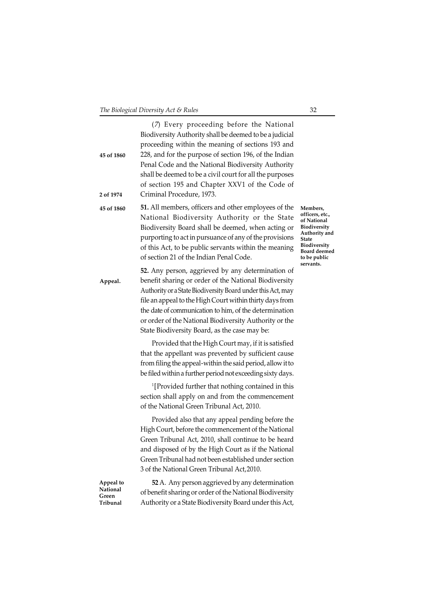| 45 of 1860                                 | (7) Every proceeding before the National<br>Biodiversity Authority shall be deemed to be a judicial<br>proceeding within the meaning of sections 193 and<br>228, and for the purpose of section 196, of the Indian<br>Penal Code and the National Biodiversity Authority<br>shall be deemed to be a civil court for all the purposes<br>of section 195 and Chapter XXV1 of the Code of                     |                                                                                                                                                   |
|--------------------------------------------|------------------------------------------------------------------------------------------------------------------------------------------------------------------------------------------------------------------------------------------------------------------------------------------------------------------------------------------------------------------------------------------------------------|---------------------------------------------------------------------------------------------------------------------------------------------------|
| 2 of 1974                                  | Criminal Procedure, 1973.                                                                                                                                                                                                                                                                                                                                                                                  |                                                                                                                                                   |
| 45 of 1860                                 | 51. All members, officers and other employees of the<br>National Biodiversity Authority or the State<br>Biodiversity Board shall be deemed, when acting or<br>purporting to act in pursuance of any of the provisions<br>of this Act, to be public servants within the meaning<br>of section 21 of the Indian Penal Code.                                                                                  | Members,<br>officers, etc.,<br>of National<br>Biodiversity<br>Authority and<br>State<br>Biodiversity<br>Board deemed<br>to be public<br>servants. |
| Appeal.                                    | 52. Any person, aggrieved by any determination of<br>benefit sharing or order of the National Biodiversity<br>Authority or a State Biodiversity Board under this Act, may<br>file an appeal to the High Court within thirty days from<br>the date of communication to him, of the determination<br>or order of the National Biodiversity Authority or the<br>State Biodiversity Board, as the case may be: |                                                                                                                                                   |
|                                            | Provided that the High Court may, if it is satisfied<br>that the appellant was prevented by sufficient cause<br>from filing the appeal-within the said period, allow it to<br>be filed within a further period not exceeding sixty days.                                                                                                                                                                   |                                                                                                                                                   |
|                                            | <sup>1</sup> [Provided further that nothing contained in this<br>section shall apply on and from the commencement<br>of the National Green Tribunal Act, 2010.                                                                                                                                                                                                                                             |                                                                                                                                                   |
|                                            | Provided also that any appeal pending before the<br>High Court, before the commencement of the National<br>Green Tribunal Act, 2010, shall continue to be heard<br>and disposed of by the High Court as if the National<br>Green Tribunal had not been established under section<br>3 of the National Green Tribunal Act, 2010.                                                                            |                                                                                                                                                   |
| Appeal to<br>National<br>Green<br>Tribunal | 52 A. Any person aggrieved by any determination<br>of benefit sharing or order of the National Biodiversity<br>Authority or a State Biodiversity Board under this Act,                                                                                                                                                                                                                                     |                                                                                                                                                   |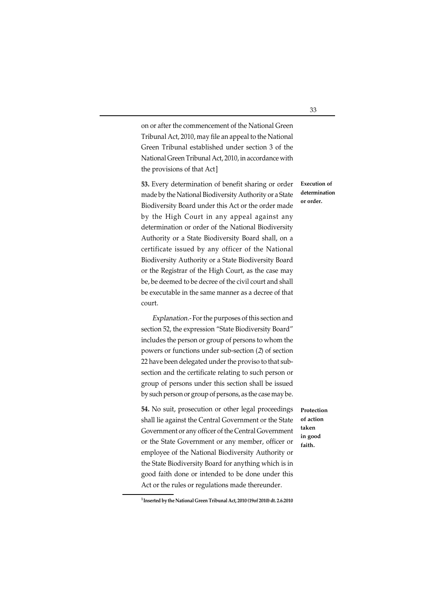on or after the commencement of the National Green Tribunal Act, 2010, may file an appeal to the National Green Tribunal established under section 3 of the National Green Tribunal Act, 2010, in accordance with the provisions of that Act]

**53.** Every determination of benefit sharing or order made by the National Biodiversity Authority or a State Biodiversity Board under this Act or the order made by the High Court in any appeal against any determination or order of the National Biodiversity Authority or a State Biodiversity Board shall, on a certificate issued by any officer of the National Biodiversity Authority or a State Biodiversity Board or the Registrar of the High Court, as the case may be, be deemed to be decree of the civil court and shall be executable in the same manner as a decree of that court.

Explanation.- For the purposes of this section and section 52, the expression "State Biodiversity Board" includes the person or group of persons to whom the powers or functions under sub-section (2) of section 22 have been delegated under the proviso to that subsection and the certificate relating to such person or group of persons under this section shall be issued by such person or group of persons, as the case may be.

**54.** No suit, prosecution or other legal proceedings shall lie against the Central Government or the State Government or any officer of the Central Government or the State Government or any member, officer or employee of the National Biodiversity Authority or the State Biodiversity Board for anything which is in good faith done or intended to be done under this Act or the rules or regulations made thereunder.

**Protection of action taken in good faith.**

**Execution of determination or order.**

**<sup>1</sup>Inserted by the National Green Tribunal Act, 2010 (19of 2010) dt. 2.6.2010**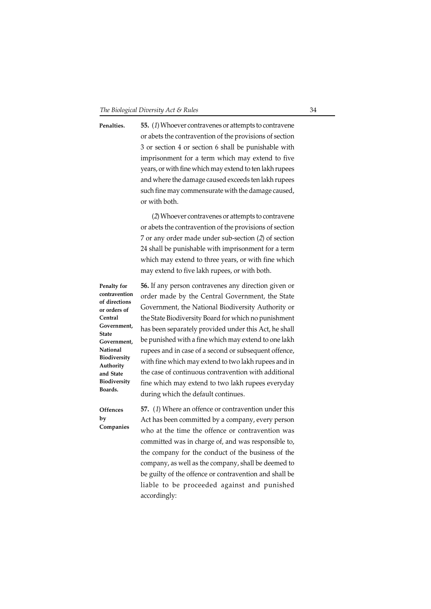**55.** (1) Whoever contravenes or attempts to contravene or abets the contravention of the provisions of section 3 or section 4 or section 6 shall be punishable with imprisonment for a term which may extend to five years, or with fine which may extend to ten lakh rupees and where the damage caused exceeds ten lakh rupees such fine may commensurate with the damage caused, or with both. **Penalties.**

> (2) Whoever contravenes or attempts to contravene or abets the contravention of the provisions of section 7 or any order made under sub-section (2) of section 24 shall be punishable with imprisonment for a term which may extend to three years, or with fine which may extend to five lakh rupees, or with both.

**Penalty for contravention of directions or orders of Central Government, State Government, National Biodiversity Authority and State Biodiversity Boards.**

**56.** If any person contravenes any direction given or order made by the Central Government, the State Government, the National Biodiversity Authority or the State Biodiversity Board for which no punishment has been separately provided under this Act, he shall be punished with a fine which may extend to one lakh rupees and in case of a second or subsequent offence, with fine which may extend to two lakh rupees and in the case of continuous contravention with additional fine which may extend to two lakh rupees everyday during which the default continues.

**Offences by Companies**

**57.** (1) Where an offence or contravention under this Act has been committed by a company, every person who at the time the offence or contravention was committed was in charge of, and was responsible to, the company for the conduct of the business of the company, as well as the company, shall be deemed to be guilty of the offence or contravention and shall be liable to be proceeded against and punished accordingly: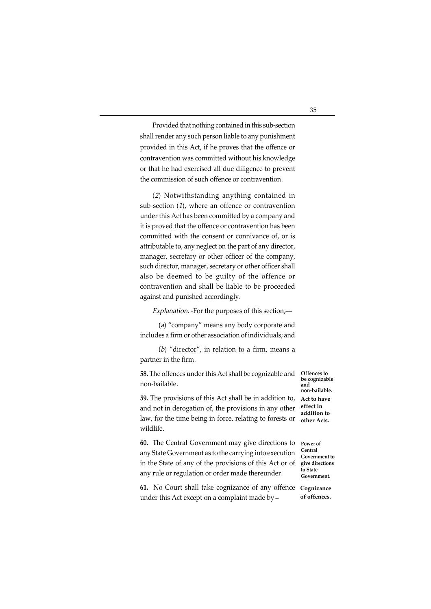Provided that nothing contained in this sub-section shall render any such person liable to any punishment provided in this Act, if he proves that the offence or contravention was committed without his knowledge or that he had exercised all due diligence to prevent the commission of such offence or contravention.

(2) Notwithstanding anything contained in sub-section (1), where an offence or contravention under this Act has been committed by a company and it is proved that the offence or contravention has been committed with the consent or connivance of, or is attributable to, any neglect on the part of any director, manager, secretary or other officer of the company, such director, manager, secretary or other officer shall also be deemed to be guilty of the offence or contravention and shall be liable to be proceeded against and punished accordingly.

Explanation. -For the purposes of this section,-

(a) "company" means any body corporate and includes a firm or other association of individuals; and

(b) "director", in relation to a firm, means a partner in the firm.

**58.** The offences under this Act shall be cognizable and non-bailable.

**Offences to be cognizable and non-bailable. Act to have effect in addition to other Acts.**

law, for the time being in force, relating to forests or wildlife. **60.** The Central Government may give directions to

**59.** The provisions of this Act shall be in addition to, and not in derogation of, the provisions in any other

any State Government as to the carrying into execution in the State of any of the provisions of this Act or of any rule or regulation or order made thereunder. **Power of Central Government to give directions to State Government.**

**61.** No Court shall take cognizance of any offence **Cognizance** under this Act except on a complaint made by **of offences.**

35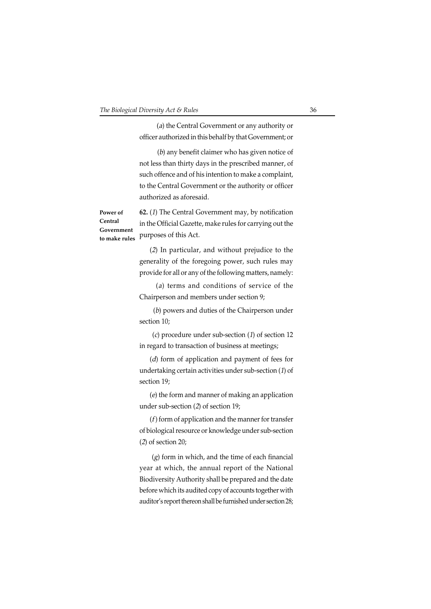(a) the Central Government or any authority or officer authorized in this behalf by that Government; or

 (b) any benefit claimer who has given notice of not less than thirty days in the prescribed manner, of such offence and of his intention to make a complaint, to the Central Government or the authority or officer authorized as aforesaid.

**Power of Central Government to make rules**

**62.** (1) The Central Government may, by notification in the Official Gazette, make rules for carrying out the purposes of this Act.

(2) In particular, and without prejudice to the generality of the foregoing power, such rules may provide for all or any of the following matters, namely:

(a) terms and conditions of service of the Chairperson and members under section 9;

 (b) powers and duties of the Chairperson under section 10;

 (c) procedure under sub-section (1) of section 12 in regard to transaction of business at meetings;

(d) form of application and payment of fees for undertaking certain activities under sub-section (1) of section 19;

(e) the form and manner of making an application under sub-section (2) of section 19;

 $(f)$  form of application and the manner for transfer of biological resource or knowledge under sub-section (2) of section 20;

 $(g)$  form in which, and the time of each financial year at which, the annual report of the National Biodiversity Authority shall be prepared and the date before which its audited copy of accounts together with auditor's report thereon shall be furnished under section 28;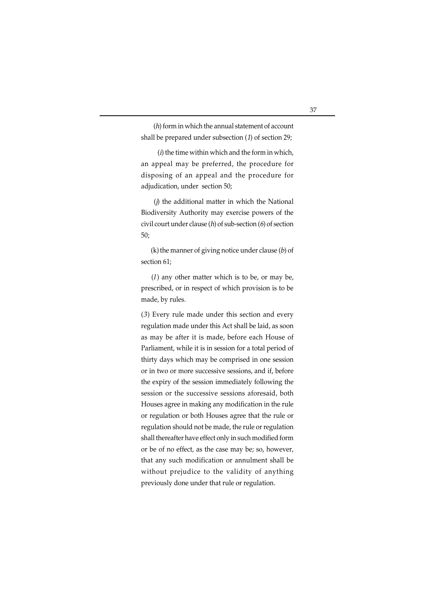(h) form in which the annual statement of account shall be prepared under subsection (1) of section 29;

 $(i)$  the time within which and the form in which, an appeal may be preferred, the procedure for disposing of an appeal and the procedure for adjudication, under section 50;

 (j) the additional matter in which the National Biodiversity Authority may exercise powers of the civil court under clause  $(h)$  of sub-section  $(h)$  of section 50;

 $(k)$  the manner of giving notice under clause  $(b)$  of section 61;

 $(l)$  any other matter which is to be, or may be, prescribed, or in respect of which provision is to be made, by rules.

 $(3)$  Every rule made under this section and every regulation made under this Act shall be laid, as soon as may be after it is made, before each House of Parliament, while it is in session for a total period of thirty days which may be comprised in one session or in two or more successive sessions, and if, before the expiry of the session immediately following the session or the successive sessions aforesaid, both Houses agree in making any modification in the rule or regulation or both Houses agree that the rule or regulation should not be made, the rule or regulation shall thereafter have effect only in such modified form or be of no effect, as the case may be; so, however, that any such modification or annulment shall be without prejudice to the validity of anything previously done under that rule or regulation.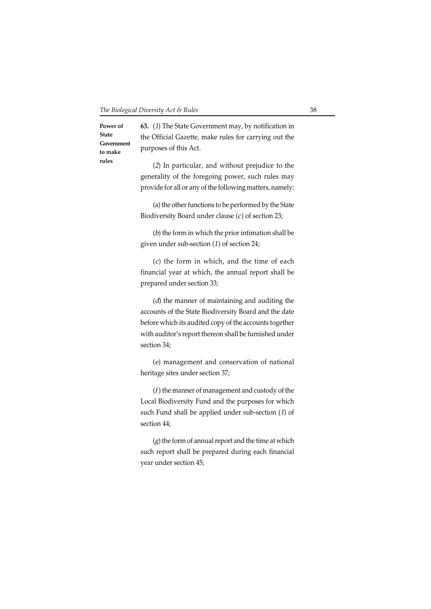**Power of State Government to make rules**

**63.** (1) The State Government may, by notification in the Official Gazette, make rules for carrying out the purposes of this Act.

(2) In particular, and without prejudice to the generality of the foregoing power, such rules may provide for all or any of the following matters, namely:

(a) the other functions to be performed by the State Biodiversity Board under clause  $(c)$  of section 23;

(b) the form in which the prior intimation shall be given under sub-section (1) of section 24;

(c) the form in which, and the time of each financial year at which, the annual report shall be prepared under section 33;

(d) the manner of maintaining and auditing the accounts of the State Biodiversity Board and the date before which its audited copy of the accounts together with auditor's report thereon shall be furnished under section 34;

(e) management and conservation of national heritage sites under section 37;

 $(f)$  the manner of management and custody of the Local Biodiversity Fund and the purposes for which such Fund shall be applied under sub-section (1) of section 44;

(g) the form of annual report and the time at which such report shall be prepared during each financial year under section 45;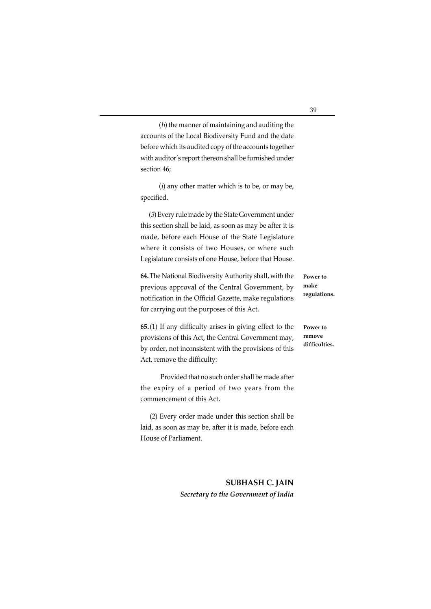(h) the manner of maintaining and auditing the accounts of the Local Biodiversity Fund and the date before which its audited copy of the accounts together with auditor's report thereon shall be furnished under section 46;

 $(i)$  any other matter which is to be, or may be, specified.

(3) Every rule made by the State Government under this section shall be laid, as soon as may be after it is made, before each House of the State Legislature where it consists of two Houses, or where such Legislature consists of one House, before that House.

**64.** The National Biodiversity Authority shall, with the previous approval of the Central Government, by notification in the Official Gazette, make regulations for carrying out the purposes of this Act.

**65.**(1) If any difficulty arises in giving effect to the provisions of this Act, the Central Government may, by order, not inconsistent with the provisions of this Act, remove the difficulty:

 Provided that no such order shall be made after the expiry of a period of two years from the commencement of this Act.

(2) Every order made under this section shall be laid, as soon as may be, after it is made, before each House of Parliament.

> **SUBHASH C. JAIN** *Secretary to the Government of India*

#### **Power to make regulations.**

**Power to remove difficulties.**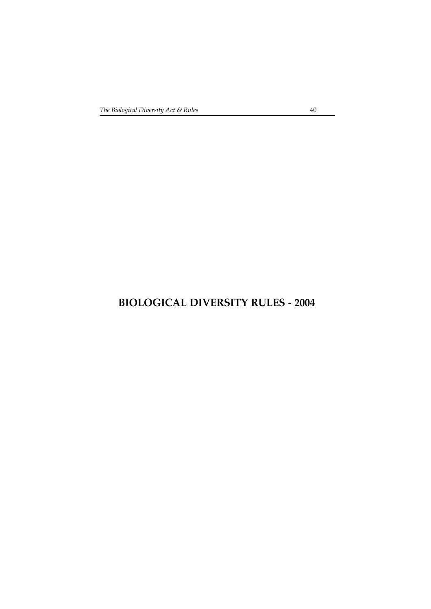# **BIOLOGICAL DIVERSITY RULES - 2004**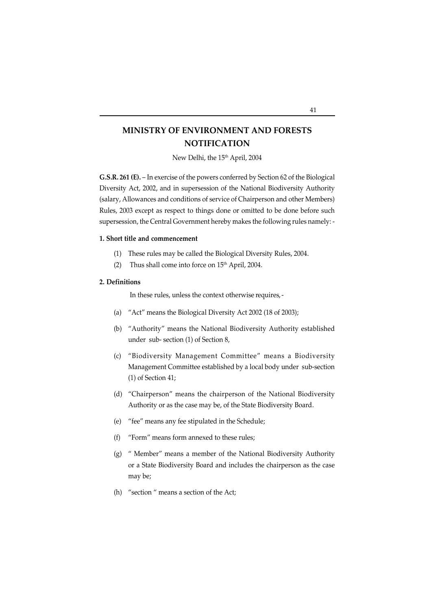## **MINISTRY OF ENVIRONMENT AND FORESTS NOTIFICATION**

New Delhi, the 15<sup>th</sup> April, 2004

**G.S.R. 261 (E).** – In exercise of the powers conferred by Section 62 of the Biological Diversity Act, 2002, and in supersession of the National Biodiversity Authority (salary, Allowances and conditions of service of Chairperson and other Members) Rules, 2003 except as respect to things done or omitted to be done before such supersession, the Central Government hereby makes the following rules namely: -

#### **1. Short title and commencement**

- (1) These rules may be called the Biological Diversity Rules, 2004.
- (2) Thus shall come into force on  $15<sup>th</sup>$  April, 2004.

#### **2. Definitions**

In these rules, unless the context otherwise requires, -

- (a) "Act" means the Biological Diversity Act 2002 (18 of 2003);
- (b) "Authority" means the National Biodiversity Authority established under sub- section (1) of Section 8,
- (c) "Biodiversity Management Committee" means a Biodiversity Management Committee established by a local body under sub-section (1) of Section 41;
- (d) "Chairperson" means the chairperson of the National Biodiversity Authority or as the case may be, of the State Biodiversity Board.
- (e) "fee" means any fee stipulated in the Schedule;
- (f) "Form" means form annexed to these rules;
- (g) " Member" means a member of the National Biodiversity Authority or a State Biodiversity Board and includes the chairperson as the case may be;
- (h) "section " means a section of the Act;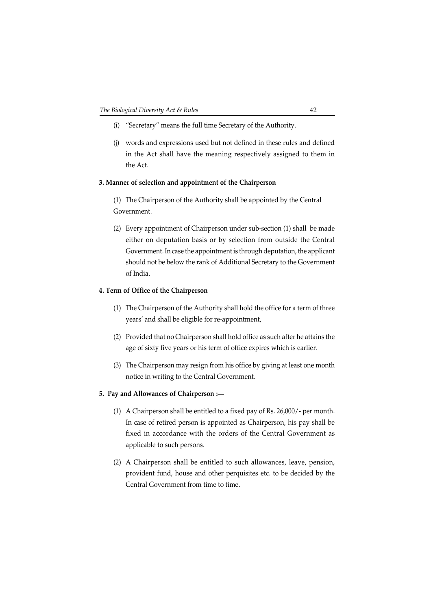- (i) "Secretary" means the full time Secretary of the Authority.
- (j) words and expressions used but not defined in these rules and defined in the Act shall have the meaning respectively assigned to them in the Act.

#### **3. Manner of selection and appointment of the Chairperson**

(1) The Chairperson of the Authority shall be appointed by the Central Government.

(2) Every appointment of Chairperson under sub-section (1) shall be made either on deputation basis or by selection from outside the Central Government. In case the appointment is through deputation, the applicant should not be below the rank of Additional Secretary to the Government of India.

#### **4. Term of Office of the Chairperson**

- (1) The Chairperson of the Authority shall hold the office for a term of three years' and shall be eligible for re-appointment,
- (2) Provided that no Chairperson shall hold office as such after he attains the age of sixty five years or his term of office expires which is earlier.
- (3) The Chairperson may resign from his office by giving at least one month notice in writing to the Central Government.

#### **5. Pay and Allowances of Chairperson :\_\_**

- (1) A Chairperson shall be entitled to a fixed pay of Rs. 26,000/- per month. In case of retired person is appointed as Chairperson, his pay shall be fixed in accordance with the orders of the Central Government as applicable to such persons.
- (2) A Chairperson shall be entitled to such allowances, leave, pension, provident fund, house and other perquisites etc. to be decided by the Central Government from time to time.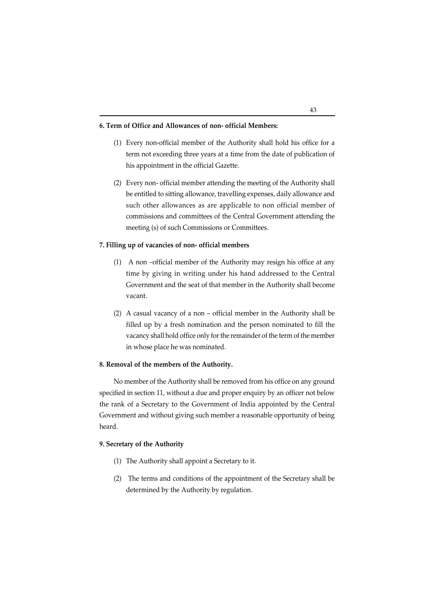#### **6. Term of Office and Allowances of non- official Members:**

- (1) Every non-official member of the Authority shall hold his office for a term not exceeding three years at a time from the date of publication of his appointment in the official Gazette.
- (2) Every non- official member attending the meeting of the Authority shall be entitled to sitting allowance, travelling expenses, daily allowance and such other allowances as are applicable to non official member of commissions and committees of the Central Government attending the meeting (s) of such Commissions or Committees.

#### **7. Filling up of vacancies of non- official members**

- (1) A non –official member of the Authority may resign his office at any time by giving in writing under his hand addressed to the Central Government and the seat of that member in the Authority shall become vacant.
- (2) A casual vacancy of a non official member in the Authority shall be filled up by a fresh nomination and the person nominated to fill the vacancy shall hold office only for the remainder of the term of the member in whose place he was nominated.

#### **8. Removal of the members of the Authority.**

No member of the Authority shall be removed from his office on any ground specified in section 11, without a due and proper enquiry by an officer not below the rank of a Secretary to the Government of India appointed by the Central Government and without giving such member a reasonable opportunity of being heard.

#### **9. Secretary of the Authority**

- (1) The Authority shall appoint a Secretary to it.
- (2) The terms and conditions of the appointment of the Secretary shall be determined by the Authority by regulation.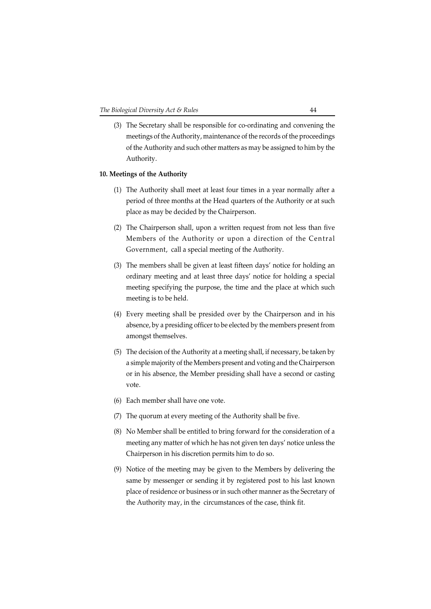(3) The Secretary shall be responsible for co-ordinating and convening the meetings of the Authority, maintenance of the records of the proceedings of the Authority and such other matters as may be assigned to him by the Authority.

#### **10. Meetings of the Authority**

- (1) The Authority shall meet at least four times in a year normally after a period of three months at the Head quarters of the Authority or at such place as may be decided by the Chairperson.
- (2) The Chairperson shall, upon a written request from not less than five Members of the Authority or upon a direction of the Central Government, call a special meeting of the Authority.
- (3) The members shall be given at least fifteen days' notice for holding an ordinary meeting and at least three days' notice for holding a special meeting specifying the purpose, the time and the place at which such meeting is to be held.
- (4) Every meeting shall be presided over by the Chairperson and in his absence, by a presiding officer to be elected by the members present from amongst themselves.
- (5) The decision of the Authority at a meeting shall, if necessary, be taken by a simple majority of the Members present and voting and the Chairperson or in his absence, the Member presiding shall have a second or casting vote.
- (6) Each member shall have one vote.
- (7) The quorum at every meeting of the Authority shall be five.
- (8) No Member shall be entitled to bring forward for the consideration of a meeting any matter of which he has not given ten days' notice unless the Chairperson in his discretion permits him to do so.
- (9) Notice of the meeting may be given to the Members by delivering the same by messenger or sending it by registered post to his last known place of residence or business or in such other manner as the Secretary of the Authority may, in the circumstances of the case, think fit.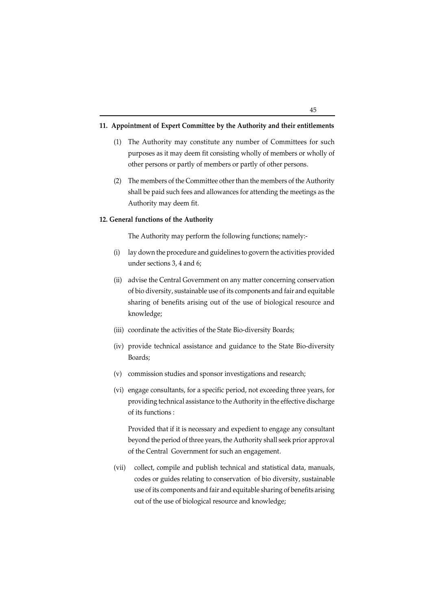#### **11. Appointment of Expert Committee by the Authority and their entitlements**

- (1) The Authority may constitute any number of Committees for such purposes as it may deem fit consisting wholly of members or wholly of other persons or partly of members or partly of other persons.
- (2) The members of the Committee other than the members of the Authority shall be paid such fees and allowances for attending the meetings as the Authority may deem fit.

#### **12. General functions of the Authority**

The Authority may perform the following functions; namely:-

- (i) lay down the procedure and guidelines to govern the activities provided under sections 3, 4 and 6;
- (ii) advise the Central Government on any matter concerning conservation of bio diversity, sustainable use of its components and fair and equitable sharing of benefits arising out of the use of biological resource and knowledge;
- (iii) coordinate the activities of the State Bio-diversity Boards;
- (iv) provide technical assistance and guidance to the State Bio-diversity Boards;
- (v) commission studies and sponsor investigations and research;
- (vi) engage consultants, for a specific period, not exceeding three years, for providing technical assistance to the Authority in the effective discharge of its functions :

Provided that if it is necessary and expedient to engage any consultant beyond the period of three years, the Authority shall seek prior approval of the Central Government for such an engagement.

(vii) collect, compile and publish technical and statistical data, manuals, codes or guides relating to conservation of bio diversity, sustainable use of its components and fair and equitable sharing of benefits arising out of the use of biological resource and knowledge;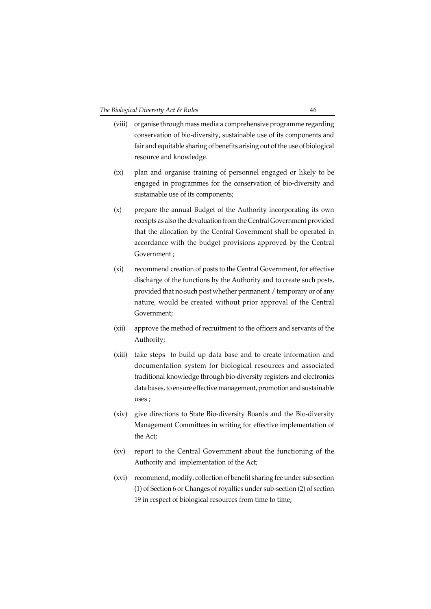- (viii) organise through mass media a comprehensive programme regarding conservation of bio-diversity, sustainable use of its components and fair and equitable sharing of benefits arising out of the use of biological resource and knowledge.
- (ix) plan and organise training of personnel engaged or likely to be engaged in programmes for the conservation of bio-diversity and sustainable use of its components;
- (x) prepare the annual Budget of the Authority incorporating its own receipts as also the devaluation from the Central Government provided that the allocation by the Central Government shall be operated in accordance with the budget provisions approved by the Central Government ;
- (xi) recommend creation of posts to the Central Government, for effective discharge of the functions by the Authority and to create such posts, provided that no such post whether permanent / temporary or of any nature, would be created without prior approval of the Central Government;
- (xii) approve the method of recruitment to the officers and servants of the Authority;
- (xiii) take steps to build up data base and to create information and documentation system for biological resources and associated traditional knowledge through bio-diversity registers and electronics data bases, to ensure effective management, promotion and sustainable uses ;
- (xiv) give directions to State Bio-diversity Boards and the Bio-diversity Management Committees in writing for effective implementation of the Act;
- (xv) report to the Central Government about the functioning of the Authority and implementation of the Act;
- (xvi) recommend, modify, collection of benefit sharing fee under sub section (1) of Section 6 or Changes of royalties under sub-section (2) of section 19 in respect of biological resources from time to time;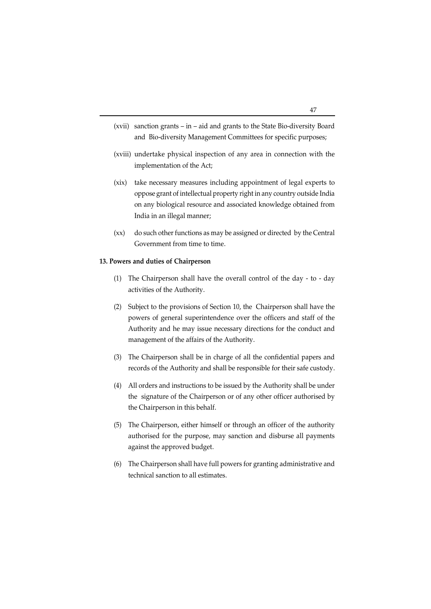- (xvii) sanction grants in aid and grants to the State Bio-diversity Board and Bio-diversity Management Committees for specific purposes;
- (xviii) undertake physical inspection of any area in connection with the implementation of the Act;
- (xix) take necessary measures including appointment of legal experts to oppose grant of intellectual property right in any country outside India on any biological resource and associated knowledge obtained from India in an illegal manner;
- (xx) do such other functions as may be assigned or directed by the Central Government from time to time.

#### **13. Powers and duties of Chairperson**

- (1) The Chairperson shall have the overall control of the day to day activities of the Authority.
- (2) Subject to the provisions of Section 10, the Chairperson shall have the powers of general superintendence over the officers and staff of the Authority and he may issue necessary directions for the conduct and management of the affairs of the Authority.
- (3) The Chairperson shall be in charge of all the confidential papers and records of the Authority and shall be responsible for their safe custody.
- (4) All orders and instructions to be issued by the Authority shall be under the signature of the Chairperson or of any other officer authorised by the Chairperson in this behalf.
- (5) The Chairperson, either himself or through an officer of the authority authorised for the purpose, may sanction and disburse all payments against the approved budget.
- (6) The Chairperson shall have full powers for granting administrative and technical sanction to all estimates.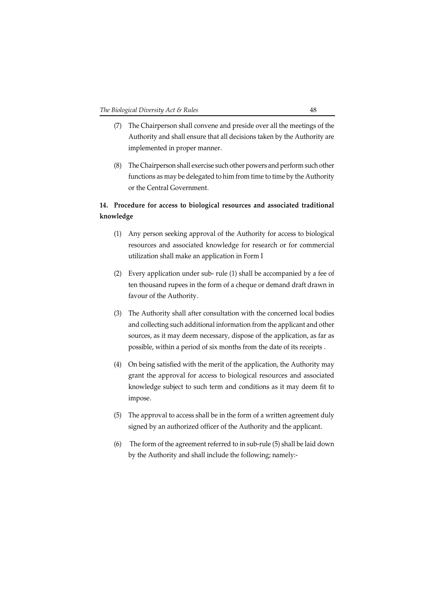- (7) The Chairperson shall convene and preside over all the meetings of the Authority and shall ensure that all decisions taken by the Authority are implemented in proper manner.
- (8) The Chairperson shall exercise such other powers and perform such other functions as may be delegated to him from time to time by the Authority or the Central Government.

## **14. Procedure for access to biological resources and associated traditional knowledge**

- (1) Any person seeking approval of the Authority for access to biological resources and associated knowledge for research or for commercial utilization shall make an application in Form I
- (2) Every application under sub- rule (1) shall be accompanied by a fee of ten thousand rupees in the form of a cheque or demand draft drawn in favour of the Authority.
- (3) The Authority shall after consultation with the concerned local bodies and collecting such additional information from the applicant and other sources, as it may deem necessary, dispose of the application, as far as possible, within a period of six months from the date of its receipts .
- (4) On being satisfied with the merit of the application, the Authority may grant the approval for access to biological resources and associated knowledge subject to such term and conditions as it may deem fit to impose.
- (5) The approval to access shall be in the form of a written agreement duly signed by an authorized officer of the Authority and the applicant.
- (6) The form of the agreement referred to in sub-rule (5) shall be laid down by the Authority and shall include the following; namely:-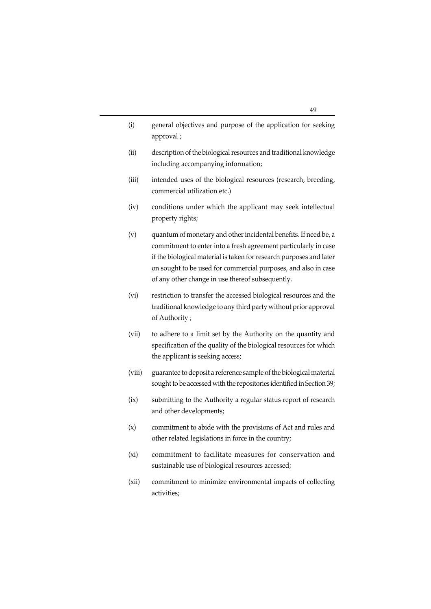| (i) | general objectives and purpose of the application for seeking |
|-----|---------------------------------------------------------------|
|     | approval;                                                     |

- (ii) description of the biological resources and traditional knowledge including accompanying information;
- (iii) intended uses of the biological resources (research, breeding, commercial utilization etc.)
- (iv) conditions under which the applicant may seek intellectual property rights;
- (v) quantum of monetary and other incidental benefits. If need be, a commitment to enter into a fresh agreement particularly in case if the biological material is taken for research purposes and later on sought to be used for commercial purposes, and also in case of any other change in use thereof subsequently.
- (vi) restriction to transfer the accessed biological resources and the traditional knowledge to any third party without prior approval of Authority ;
- (vii) to adhere to a limit set by the Authority on the quantity and specification of the quality of the biological resources for which the applicant is seeking access;
- (viii) guarantee to deposit a reference sample of the biological material sought to be accessed with the repositories identified in Section 39;
- (ix) submitting to the Authority a regular status report of research and other developments;
- (x) commitment to abide with the provisions of Act and rules and other related legislations in force in the country;
- (xi) commitment to facilitate measures for conservation and sustainable use of biological resources accessed;
- (xii) commitment to minimize environmental impacts of collecting activities;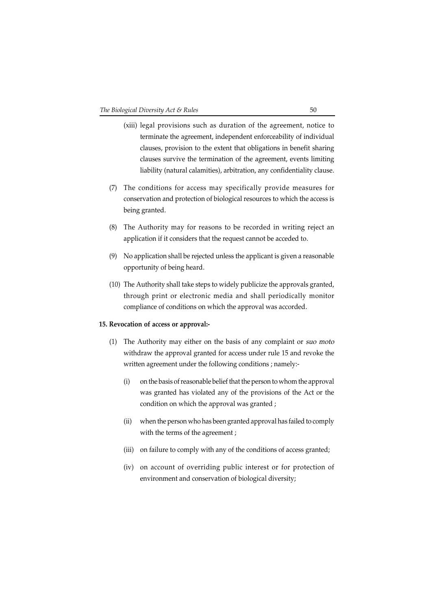- (xiii) legal provisions such as duration of the agreement, notice to terminate the agreement, independent enforceability of individual clauses, provision to the extent that obligations in benefit sharing clauses survive the termination of the agreement, events limiting liability (natural calamities), arbitration, any confidentiality clause.
- (7) The conditions for access may specifically provide measures for conservation and protection of biological resources to which the access is being granted.
- (8) The Authority may for reasons to be recorded in writing reject an application if it considers that the request cannot be acceded to.
- (9) No application shall be rejected unless the applicant is given a reasonable opportunity of being heard.
- (10) The Authority shall take steps to widely publicize the approvals granted, through print or electronic media and shall periodically monitor compliance of conditions on which the approval was accorded.

#### **15. Revocation of access or approval:-**

- (1) The Authority may either on the basis of any complaint or suo moto withdraw the approval granted for access under rule 15 and revoke the written agreement under the following conditions ; namely:-
	- (i) on the basis of reasonable belief that the person to whom the approval was granted has violated any of the provisions of the Act or the condition on which the approval was granted ;
	- (ii) when the person who has been granted approval has failed to comply with the terms of the agreement ;
	- (iii) on failure to comply with any of the conditions of access granted;
	- (iv) on account of overriding public interest or for protection of environment and conservation of biological diversity;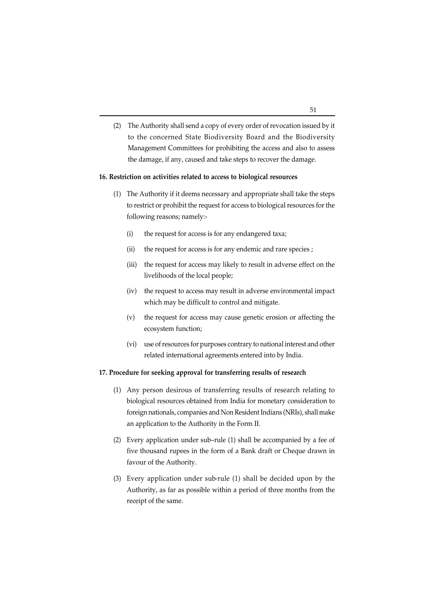(2) The Authority shall send a copy of every order of revocation issued by it to the concerned State Biodiversity Board and the Biodiversity Management Committees for prohibiting the access and also to assess the damage, if any, caused and take steps to recover the damage.

#### **16. Restriction on activities related to access to biological resources**

- (1) The Authority if it deems necessary and appropriate shall take the steps to restrict or prohibit the request for access to biological resources for the following reasons; namely:-
	- (i) the request for access is for any endangered taxa;
	- (ii) the request for access is for any endemic and rare species ;
	- (iii) the request for access may likely to result in adverse effect on the livelihoods of the local people;
	- (iv) the request to access may result in adverse environmental impact which may be difficult to control and mitigate.
	- (v) the request for access may cause genetic erosion or affecting the ecosystem function;
	- (vi) use of resources for purposes contrary to national interest and other related international agreements entered into by India.

### **17. Procedure for seeking approval for transferring results of research**

- (1) Any person desirous of transferring results of research relating to biological resources obtained from India for monetary consideration to foreign nationals, companies and Non Resident Indians (NRIs), shall make an application to the Authority in the Form II.
- (2) Every application under sub–rule (1) shall be accompanied by a fee of five thousand rupees in the form of a Bank draft or Cheque drawn in favour of the Authority.
- (3) Every application under sub-rule (1) shall be decided upon by the Authority, as far as possible within a period of three months from the receipt of the same.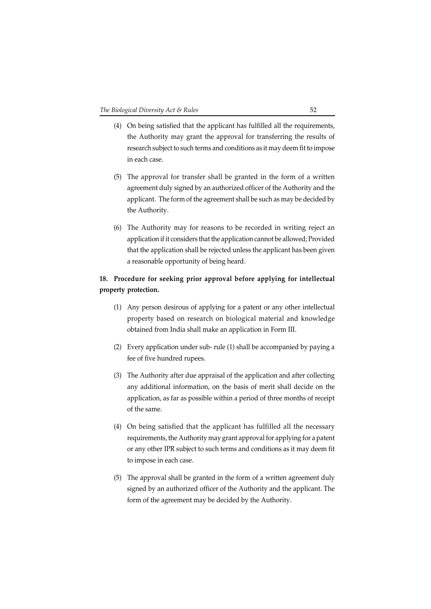- (4) On being satisfied that the applicant has fulfilled all the requirements, the Authority may grant the approval for transferring the results of research subject to such terms and conditions as it may deem fit to impose in each case.
- (5) The approval for transfer shall be granted in the form of a written agreement duly signed by an authorized officer of the Authority and the applicant. The form of the agreement shall be such as may be decided by the Authority.
- (6) The Authority may for reasons to be recorded in writing reject an application if it considers that the application cannot be allowed; Provided that the application shall be rejected unless the applicant has been given a reasonable opportunity of being heard.

## **18. Procedure for seeking prior approval before applying for intellectual property protection.**

- (1) Any person desirous of applying for a patent or any other intellectual property based on research on biological material and knowledge obtained from India shall make an application in Form III.
- (2) Every application under sub- rule (1) shall be accompanied by paying a fee of five hundred rupees.
- (3) The Authority after due appraisal of the application and after collecting any additional information, on the basis of merit shall decide on the application, as far as possible within a period of three months of receipt of the same.
- (4) On being satisfied that the applicant has fulfilled all the necessary requirements, the Authority may grant approval for applying for a patent or any other IPR subject to such terms and conditions as it may deem fit to impose in each case.
- (5) The approval shall be granted in the form of a written agreement duly signed by an authorized officer of the Authority and the applicant. The form of the agreement may be decided by the Authority.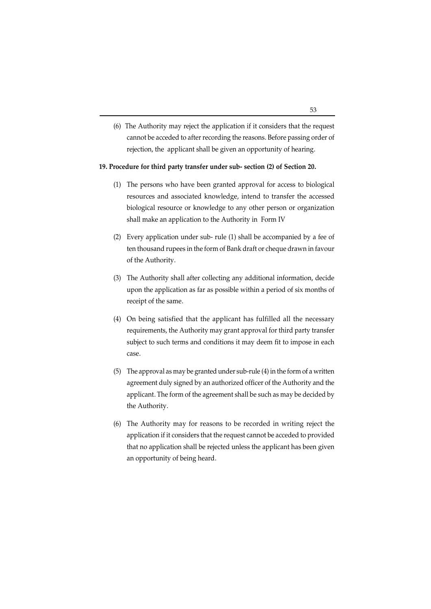(6) The Authority may reject the application if it considers that the request cannot be acceded to after recording the reasons. Before passing order of rejection, the applicant shall be given an opportunity of hearing.

#### **19. Procedure for third party transfer under sub- section (2) of Section 20.**

- (1) The persons who have been granted approval for access to biological resources and associated knowledge, intend to transfer the accessed biological resource or knowledge to any other person or organization shall make an application to the Authority in Form IV
- (2) Every application under sub- rule (1) shall be accompanied by a fee of ten thousand rupees in the form of Bank draft or cheque drawn in favour of the Authority.
- (3) The Authority shall after collecting any additional information, decide upon the application as far as possible within a period of six months of receipt of the same.
- (4) On being satisfied that the applicant has fulfilled all the necessary requirements, the Authority may grant approval for third party transfer subject to such terms and conditions it may deem fit to impose in each case.
- (5) The approval as may be granted under sub-rule (4) in the form of a written agreement duly signed by an authorized officer of the Authority and the applicant. The form of the agreement shall be such as may be decided by the Authority.
- (6) The Authority may for reasons to be recorded in writing reject the application if it considers that the request cannot be acceded to provided that no application shall be rejected unless the applicant has been given an opportunity of being heard.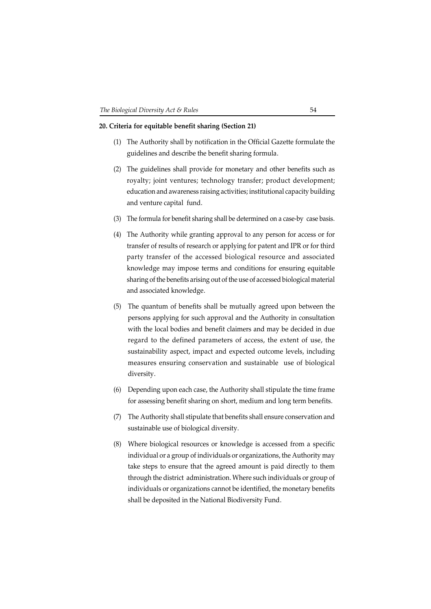#### **20. Criteria for equitable benefit sharing (Section 21)**

- (1) The Authority shall by notification in the Official Gazette formulate the guidelines and describe the benefit sharing formula.
- (2) The guidelines shall provide for monetary and other benefits such as royalty; joint ventures; technology transfer; product development; education and awareness raising activities; institutional capacity building and venture capital fund.
- (3) The formula for benefit sharing shall be determined on a case-by case basis.
- (4) The Authority while granting approval to any person for access or for transfer of results of research or applying for patent and IPR or for third party transfer of the accessed biological resource and associated knowledge may impose terms and conditions for ensuring equitable sharing of the benefits arising out of the use of accessed biological material and associated knowledge.
- (5) The quantum of benefits shall be mutually agreed upon between the persons applying for such approval and the Authority in consultation with the local bodies and benefit claimers and may be decided in due regard to the defined parameters of access, the extent of use, the sustainability aspect, impact and expected outcome levels, including measures ensuring conservation and sustainable use of biological diversity.
- (6) Depending upon each case, the Authority shall stipulate the time frame for assessing benefit sharing on short, medium and long term benefits.
- (7) The Authority shall stipulate that benefits shall ensure conservation and sustainable use of biological diversity.
- (8) Where biological resources or knowledge is accessed from a specific individual or a group of individuals or organizations, the Authority may take steps to ensure that the agreed amount is paid directly to them through the district administration. Where such individuals or group of individuals or organizations cannot be identified, the monetary benefits shall be deposited in the National Biodiversity Fund.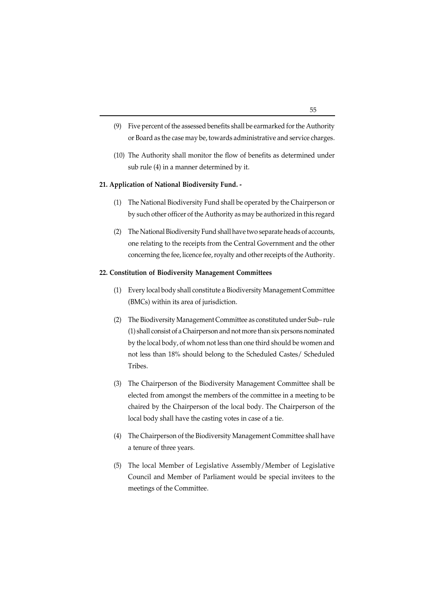- (9) Five percent of the assessed benefits shall be earmarked for the Authority or Board as the case may be, towards administrative and service charges.
- (10) The Authority shall monitor the flow of benefits as determined under sub rule (4) in a manner determined by it.

#### **21. Application of National Biodiversity Fund. -**

- (1) The National Biodiversity Fund shall be operated by the Chairperson or by such other officer of the Authority as may be authorized in this regard
- (2) The National Biodiversity Fund shall have two separate heads of accounts, one relating to the receipts from the Central Government and the other concerning the fee, licence fee, royalty and other receipts of the Authority.

#### **22. Constitution of Biodiversity Management Committees**

- (1) Every local body shall constitute a Biodiversity Management Committee (BMCs) within its area of jurisdiction.
- (2) The Biodiversity Management Committee as constituted under Sub– rule (1) shall consist of a Chairperson and not more than six persons nominated by the local body, of whom not less than one third should be women and not less than 18% should belong to the Scheduled Castes/ Scheduled Tribes.
- (3) The Chairperson of the Biodiversity Management Committee shall be elected from amongst the members of the committee in a meeting to be chaired by the Chairperson of the local body. The Chairperson of the local body shall have the casting votes in case of a tie.
- (4) The Chairperson of the Biodiversity Management Committee shall have a tenure of three years.
- (5) The local Member of Legislative Assembly/Member of Legislative Council and Member of Parliament would be special invitees to the meetings of the Committee.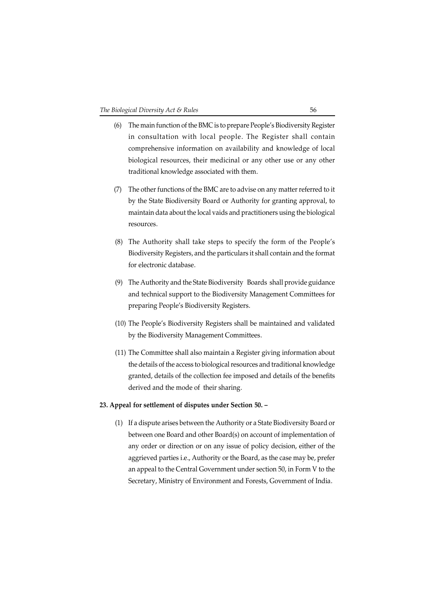- (6) The main function of the BMC is to prepare People's Biodiversity Register in consultation with local people. The Register shall contain comprehensive information on availability and knowledge of local biological resources, their medicinal or any other use or any other traditional knowledge associated with them.
- (7) The other functions of the BMC are to advise on any matter referred to it by the State Biodiversity Board or Authority for granting approval, to maintain data about the local vaids and practitioners using the biological resources.
- (8) The Authority shall take steps to specify the form of the People's Biodiversity Registers, and the particulars it shall contain and the format for electronic database.
- (9) The Authority and the State Biodiversity Boards shall provide guidance and technical support to the Biodiversity Management Committees for preparing People's Biodiversity Registers.
- (10) The People's Biodiversity Registers shall be maintained and validated by the Biodiversity Management Committees.
- (11) The Committee shall also maintain a Register giving information about the details of the access to biological resources and traditional knowledge granted, details of the collection fee imposed and details of the benefits derived and the mode of their sharing.

#### **23. Appeal for settlement of disputes under Section 50. –**

(1) If a dispute arises between the Authority or a State Biodiversity Board or between one Board and other Board(s) on account of implementation of any order or direction or on any issue of policy decision, either of the aggrieved parties i.e., Authority or the Board, as the case may be, prefer an appeal to the Central Government under section 50, in Form V to the Secretary, Ministry of Environment and Forests, Government of India.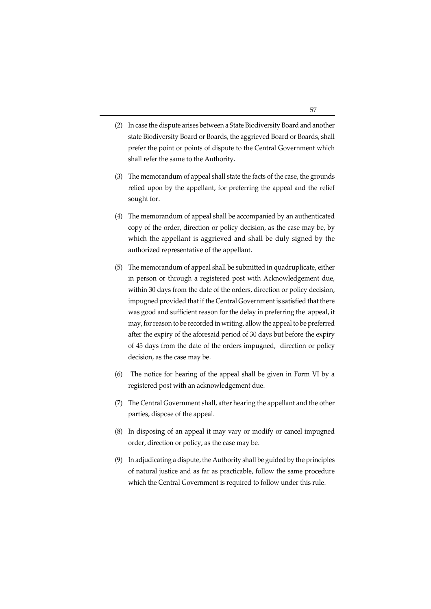- (2) In case the dispute arises between a State Biodiversity Board and another state Biodiversity Board or Boards, the aggrieved Board or Boards, shall prefer the point or points of dispute to the Central Government which shall refer the same to the Authority.
- (3) The memorandum of appeal shall state the facts of the case, the grounds relied upon by the appellant, for preferring the appeal and the relief sought for.
- (4) The memorandum of appeal shall be accompanied by an authenticated copy of the order, direction or policy decision, as the case may be, by which the appellant is aggrieved and shall be duly signed by the authorized representative of the appellant.
- (5) The memorandum of appeal shall be submitted in quadruplicate, either in person or through a registered post with Acknowledgement due, within 30 days from the date of the orders, direction or policy decision, impugned provided that if the Central Government is satisfied that there was good and sufficient reason for the delay in preferring the appeal, it may, for reason to be recorded in writing, allow the appeal to be preferred after the expiry of the aforesaid period of 30 days but before the expiry of 45 days from the date of the orders impugned, direction or policy decision, as the case may be.
- (6) The notice for hearing of the appeal shall be given in Form VI by a registered post with an acknowledgement due.
- (7) The Central Government shall, after hearing the appellant and the other parties, dispose of the appeal.
- (8) In disposing of an appeal it may vary or modify or cancel impugned order, direction or policy, as the case may be.
- (9) In adjudicating a dispute, the Authority shall be guided by the principles of natural justice and as far as practicable, follow the same procedure which the Central Government is required to follow under this rule.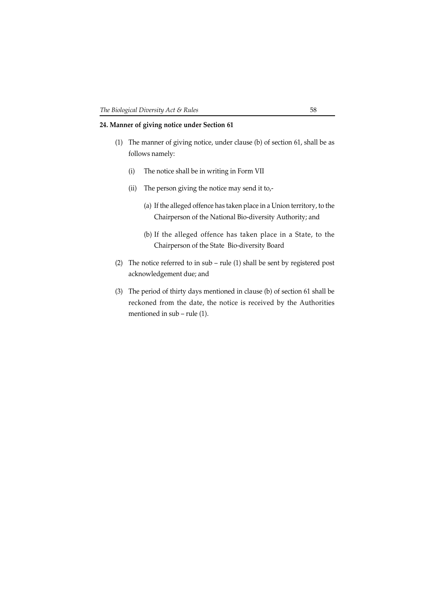## **24. Manner of giving notice under Section 61**

- (1) The manner of giving notice, under clause (b) of section 61, shall be as follows namely:
	- (i) The notice shall be in writing in Form VII
	- (ii) The person giving the notice may send it to,-
		- (a) If the alleged offence has taken place in a Union territory, to the Chairperson of the National Bio-diversity Authority; and
		- (b) If the alleged offence has taken place in a State, to the Chairperson of the State Bio-diversity Board
- (2) The notice referred to in sub rule (1) shall be sent by registered post acknowledgement due; and
- (3) The period of thirty days mentioned in clause (b) of section 61 shall be reckoned from the date, the notice is received by the Authorities mentioned in sub – rule (1).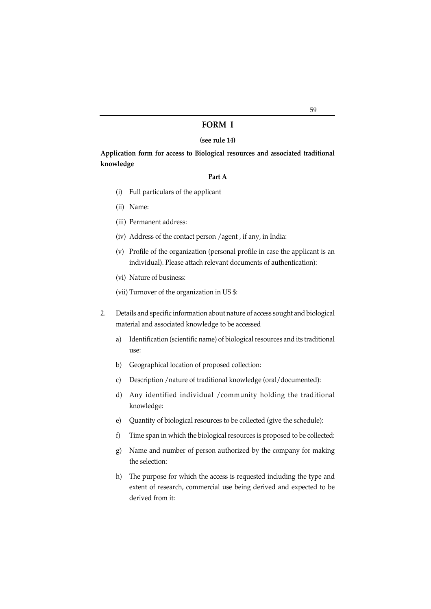#### **FORM I**

#### **(see rule 14)**

**Application form for access to Biological resources and associated traditional knowledge**

#### **Part A**

- (i) Full particulars of the applicant
- (ii) Name:
- (iii) Permanent address:
- (iv) Address of the contact person /agent , if any, in India:
- (v) Profile of the organization (personal profile in case the applicant is an individual). Please attach relevant documents of authentication):
- (vi) Nature of business:
- (vii) Turnover of the organization in US \$:
- 2. Details and specific information about nature of access sought and biological material and associated knowledge to be accessed
	- a) Identification (scientific name) of biological resources and its traditional use:
	- b) Geographical location of proposed collection:
	- c) Description /nature of traditional knowledge (oral/documented):
	- d) Any identified individual /community holding the traditional knowledge:
	- e) Quantity of biological resources to be collected (give the schedule):
	- f) Time span in which the biological resources is proposed to be collected:
	- g) Name and number of person authorized by the company for making the selection:
	- h) The purpose for which the access is requested including the type and extent of research, commercial use being derived and expected to be derived from it: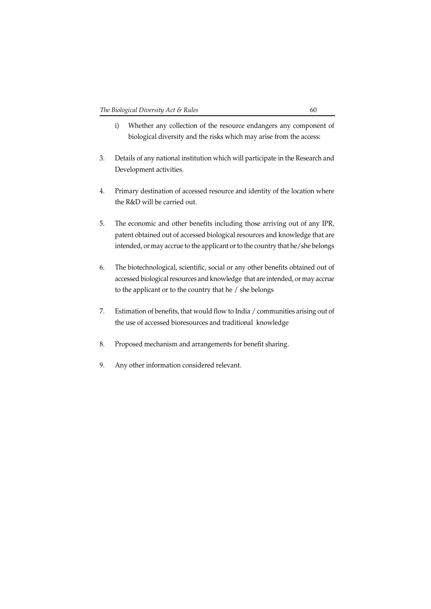- i) Whether any collection of the resource endangers any component of biological diversity and the risks which may arise from the access:
- 3. Details of any national institution which will participate in the Research and Development activities.
- 4. Primary destination of accessed resource and identity of the location where the R&D will be carried out.
- 5. The economic and other benefits including those arriving out of any IPR, patent obtained out of accessed biological resources and knowledge that are intended, or may accrue to the applicant or to the country that he/she belongs
- 6. The biotechnological, scientific, social or any other benefits obtained out of accessed biological resources and knowledge that are intended, or may accrue to the applicant or to the country that he / she belongs
- 7. Estimation of benefits, that would flow to India / communities arising out of the use of accessed bioresources and traditional knowledge
- 8. Proposed mechanism and arrangements for benefit sharing.
- 9. Any other information considered relevant.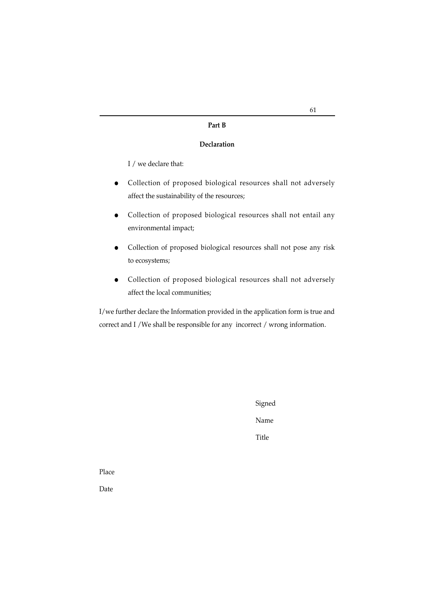#### **Part B**

#### **Declaration**

I / we declare that:

- $\bullet$  Collection of proposed biological resources shall not adversely affect the sustainability of the resources;
- Collection of proposed biological resources shall not entail any environmental impact;
- Collection of proposed biological resources shall not pose any risk to ecosystems;
- $\bullet$  Collection of proposed biological resources shall not adversely affect the local communities;

I/we further declare the Information provided in the application form is true and correct and I /We shall be responsible for any incorrect / wrong information.

> Signed Name

Title

Place

Date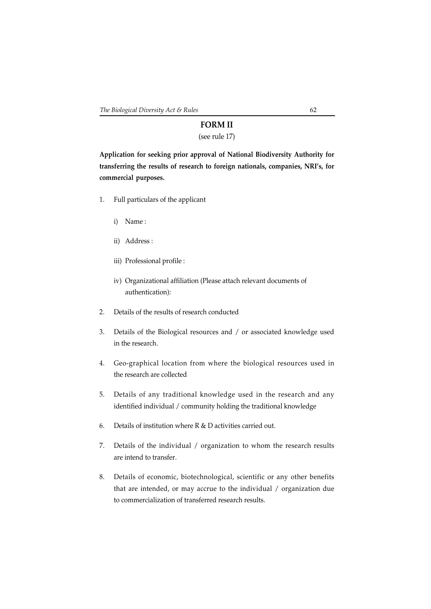# **FORM II**

# (see rule 17)

**Application for seeking prior approval of National Biodiversity Authority for transferring the results of research to foreign nationals, companies, NRI's, for commercial purposes.**

- 1. Full particulars of the applicant
	- i) Name :
	- ii) Address :
	- iii) Professional profile :
	- iv) Organizational affiliation (Please attach relevant documents of authentication):
- 2. Details of the results of research conducted
- 3. Details of the Biological resources and / or associated knowledge used in the research.
- 4. Geo-graphical location from where the biological resources used in the research are collected
- 5. Details of any traditional knowledge used in the research and any identified individual / community holding the traditional knowledge
- 6. Details of institution where R & D activities carried out.
- 7. Details of the individual / organization to whom the research results are intend to transfer.
- 8. Details of economic, biotechnological, scientific or any other benefits that are intended, or may accrue to the individual / organization due to commercialization of transferred research results.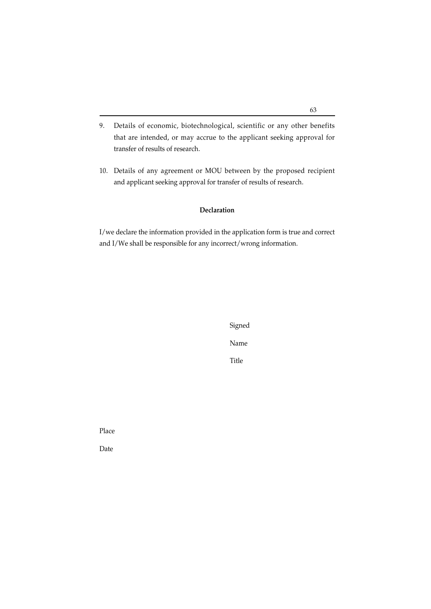- 9. Details of economic, biotechnological, scientific or any other benefits that are intended, or may accrue to the applicant seeking approval for transfer of results of research.
- 10. Details of any agreement or MOU between by the proposed recipient and applicant seeking approval for transfer of results of research.

### **Declaration**

I/we declare the information provided in the application form is true and correct and I/We shall be responsible for any incorrect/wrong information.

> Signed Name

Title

Place

Date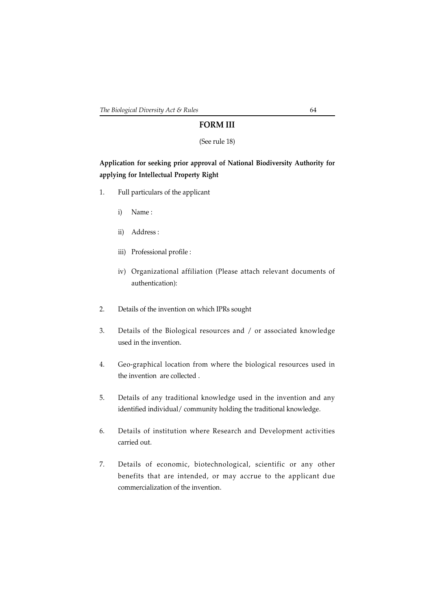## **FORM III**

#### (See rule 18)

## **Application for seeking prior approval of National Biodiversity Authority for applying for Intellectual Property Right**

- 1. Full particulars of the applicant
	- i) Name :
	- ii) Address :
	- iii) Professional profile :
	- iv) Organizational affiliation (Please attach relevant documents of authentication):
- 2. Details of the invention on which IPRs sought
- 3. Details of the Biological resources and / or associated knowledge used in the invention.
- 4. Geo-graphical location from where the biological resources used in the invention are collected .
- 5. Details of any traditional knowledge used in the invention and any identified individual/ community holding the traditional knowledge.
- 6. Details of institution where Research and Development activities carried out.
- 7. Details of economic, biotechnological, scientific or any other benefits that are intended, or may accrue to the applicant due commercialization of the invention.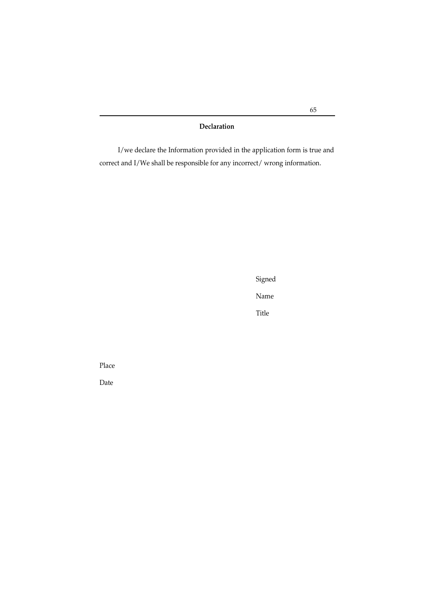**Declaration**

I/we declare the Information provided in the application form is true and correct and I/We shall be responsible for any incorrect/ wrong information.

Signed

Name

Title

Place

Date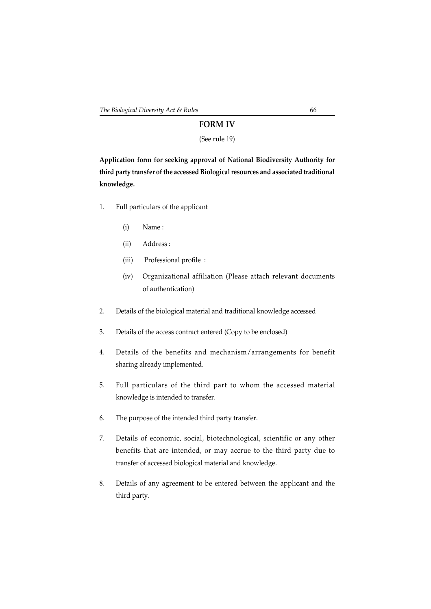## **FORM IV**

### (See rule 19)

**Application form for seeking approval of National Biodiversity Authority for third party transfer of the accessed Biological resources and associated traditional knowledge.**

- 1. Full particulars of the applicant
	- (i) Name :
	- (ii) Address :
	- (iii) Professional profile :
	- (iv) Organizational affiliation (Please attach relevant documents of authentication)
- 2. Details of the biological material and traditional knowledge accessed
- 3. Details of the access contract entered (Copy to be enclosed)
- 4. Details of the benefits and mechanism/arrangements for benefit sharing already implemented.
- 5. Full particulars of the third part to whom the accessed material knowledge is intended to transfer.
- 6. The purpose of the intended third party transfer.
- 7. Details of economic, social, biotechnological, scientific or any other benefits that are intended, or may accrue to the third party due to transfer of accessed biological material and knowledge.
- 8. Details of any agreement to be entered between the applicant and the third party.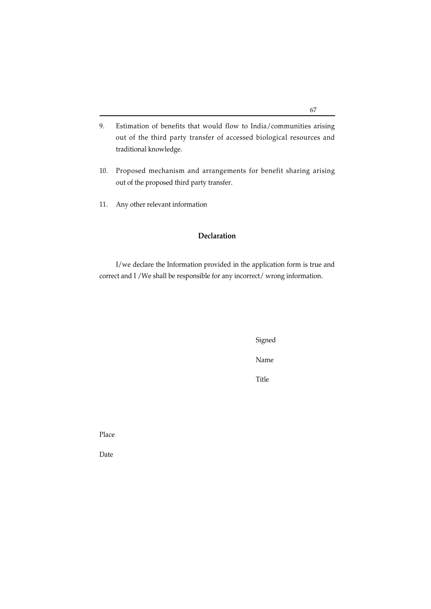- 9. Estimation of benefits that would flow to India/communities arising out of the third party transfer of accessed biological resources and traditional knowledge.
- 10. Proposed mechanism and arrangements for benefit sharing arising out of the proposed third party transfer.
- 11. Any other relevant information

## **Declaration**

I/we declare the Information provided in the application form is true and correct and I /We shall be responsible for any incorrect/ wrong information.

Signed

Name

Title

Place

Date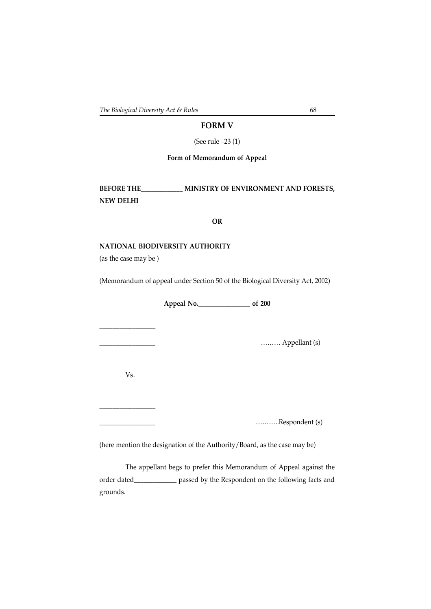## **FORM V**

(See rule –23 (1)

**Form of Memorandum of Appeal**

**BEFORE THE\_\_\_\_\_\_\_\_\_\_\_\_\_ MINISTRY OF ENVIRONMENT AND FORESTS, NEW DELHI**

#### **OR**

#### **NATIONAL BIODIVERSITY AUTHORITY**

(as the case may be )

(Memorandum of appeal under Section 50 of the Biological Diversity Act, 2002)

**Appeal No.\_\_\_\_\_\_\_\_\_\_\_\_\_\_\_\_ of 200**

\_\_\_\_\_\_\_\_\_\_\_\_\_\_\_\_\_ ……… Appellant (s)

Vs.

\_\_\_\_\_\_\_\_\_\_\_\_\_\_\_\_\_\_\_\_\_\_\_

\_\_\_\_\_\_\_\_\_\_\_\_\_\_\_\_\_\_\_\_\_\_\_

\_\_\_\_\_\_\_\_\_\_\_\_\_\_\_\_\_ ………..Respondent (s)

(here mention the designation of the Authority/Board, as the case may be)

The appellant begs to prefer this Memorandum of Appeal against the order dated\_\_\_\_\_\_\_\_\_\_\_\_\_ passed by the Respondent on the following facts and grounds.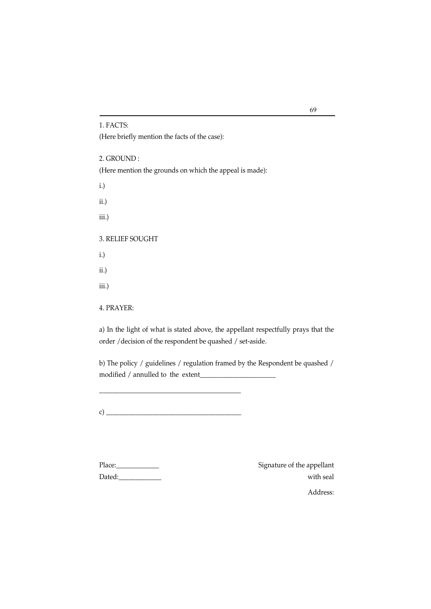1. FACTS:

(Here briefly mention the facts of the case):

2. GROUND : (Here mention the grounds on which the appeal is made):

i.)

ii.)

iii.)

3. RELIEF SOUGHT

i.)

ii.)

iii.)

4. PRAYER:

a) In the light of what is stated above, the appellant respectfully prays that the order /decision of the respondent be quashed / set-aside.

b) The policy / guidelines / regulation framed by the Respondent be quashed / modified / annulled to the extent\_\_\_\_\_\_\_\_\_\_\_\_\_\_\_\_\_\_\_\_\_\_\_

c)  $\overline{\phantom{a}}$ 

\_\_\_\_\_\_\_\_\_\_\_\_\_\_\_\_\_\_\_\_\_\_\_\_\_\_\_\_\_\_\_\_\_\_\_\_\_\_\_\_\_\_\_

Place:\_\_\_\_\_\_\_\_\_\_\_\_\_ Signature of the appellant  $\text{Dated:}\qquad \qquad \text{with seal}$ Address: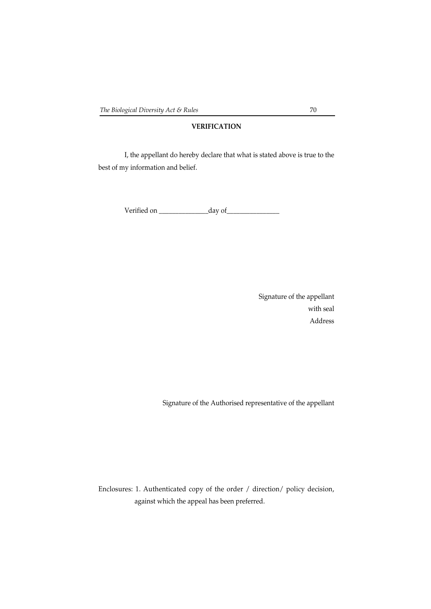# **VERIFICATION**

I, the appellant do hereby declare that what is stated above is true to the best of my information and belief.

Verified on \_\_\_\_\_\_\_\_\_\_\_\_\_\_\_day of\_\_\_\_\_\_\_\_\_\_\_\_\_\_\_\_

Signature of the appellant with seal Address

Signature of the Authorised representative of the appellant

Enclosures: 1. Authenticated copy of the order / direction/ policy decision, against which the appeal has been preferred.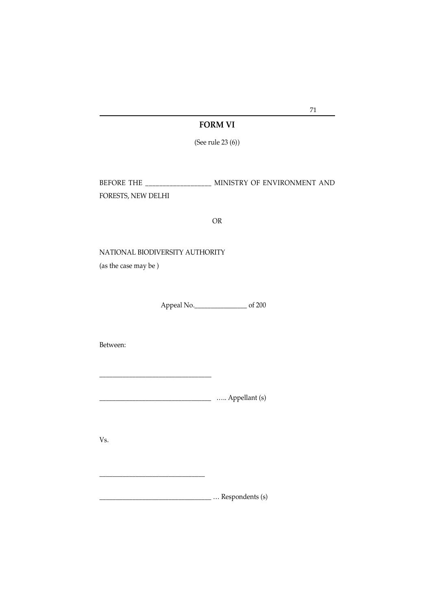# **FORM VI**

(See rule 23 (6))

BEFORE THE \_\_\_\_\_\_\_\_\_\_\_\_\_\_\_\_\_\_\_ MINISTRY OF ENVIRONMENT AND FORESTS, NEW DELHI

### OR

NATIONAL BIODIVERSITY AUTHORITY

(as the case may be )

Appeal No.\_\_\_\_\_\_\_\_\_\_\_\_\_\_\_\_ of 200

Between:

\_\_\_\_\_\_\_\_\_\_\_\_\_\_\_\_\_\_\_\_\_\_\_\_\_\_\_\_\_\_\_\_\_\_ ….. Appellant (s)

Vs.

\_\_\_\_\_\_\_\_\_\_\_\_\_\_\_\_\_\_\_\_\_\_\_\_\_\_\_\_\_\_\_\_\_\_ … Respondents (s)

\_\_\_\_\_\_\_\_\_\_\_\_\_\_\_\_\_\_\_\_\_\_\_\_\_\_\_\_\_\_\_\_

71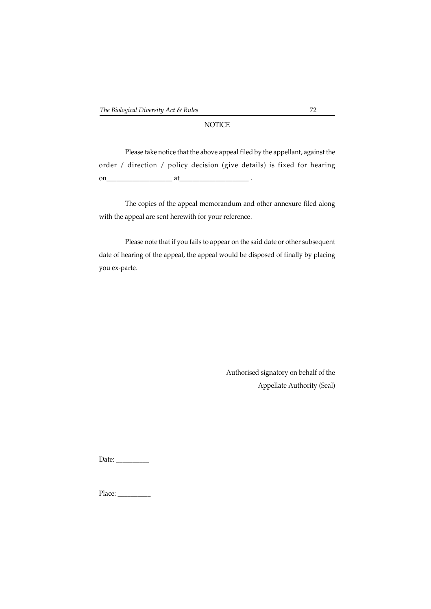# **NOTICE**

Please take notice that the above appeal filed by the appellant, against the order / direction / policy decision (give details) is fixed for hearing on\_\_\_\_\_\_\_\_\_\_\_\_\_\_\_\_\_\_\_\_ at\_\_\_\_\_\_\_\_\_\_\_\_\_\_\_\_\_\_\_\_\_ .

The copies of the appeal memorandum and other annexure filed along with the appeal are sent herewith for your reference.

Please note that if you fails to appear on the said date or other subsequent date of hearing of the appeal, the appeal would be disposed of finally by placing you ex-parte.

> Authorised signatory on behalf of the Appellate Authority (Seal)

Date: \_\_\_\_\_\_\_\_\_\_

Place: \_\_\_\_\_\_\_\_\_\_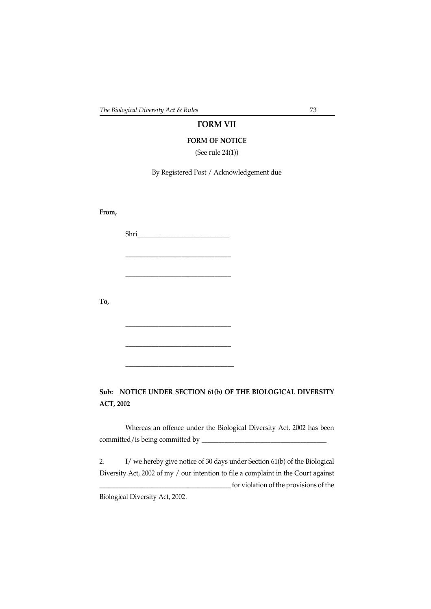# **FORM VII**

#### **FORM OF NOTICE**

(See rule 24(1))

By Registered Post / Acknowledgement due

**From,**

Shri\_\_\_\_\_\_\_\_\_\_\_\_\_\_\_\_\_\_\_\_\_\_\_\_\_\_\_\_

\_\_\_\_\_\_\_\_\_\_\_\_\_\_\_\_\_\_\_\_\_\_\_\_\_\_\_\_\_\_\_\_

\_\_\_\_\_\_\_\_\_\_\_\_\_\_\_\_\_\_\_\_\_\_\_\_\_\_\_\_\_\_\_\_

\_\_\_\_\_\_\_\_\_\_\_\_\_\_\_\_\_\_\_\_\_\_\_\_\_\_\_\_\_\_\_\_

\_\_\_\_\_\_\_\_\_\_\_\_\_\_\_\_\_\_\_\_\_\_\_\_\_\_\_\_\_\_\_\_

\_\_\_\_\_\_\_\_\_\_\_\_\_\_\_\_\_\_\_\_\_\_\_\_\_\_\_\_\_\_\_\_\_

**To,**

**Sub: NOTICE UNDER SECTION 61(b) OF THE BIOLOGICAL DIVERSITY ACT, 2002**

Whereas an offence under the Biological Diversity Act, 2002 has been committed/is being committed by \_\_\_\_\_\_\_\_\_\_\_\_\_\_\_\_\_\_\_\_\_\_\_\_\_\_\_\_\_\_\_\_\_\_\_\_\_\_

2. I/ we hereby give notice of 30 days under Section 61(b) of the Biological Diversity Act, 2002 of my / our intention to file a complaint in the Court against \_\_\_\_\_\_\_\_\_\_\_\_\_\_\_\_\_\_\_\_\_\_\_\_\_\_\_\_\_\_\_\_\_\_\_\_\_\_\_\_ for violation of the provisions of the

Biological Diversity Act, 2002.